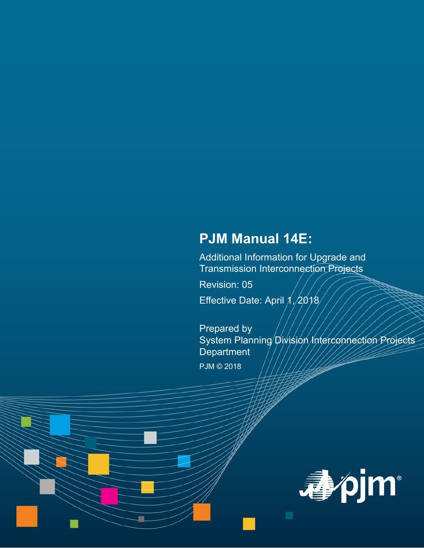# **PJM Manual 14E:**

Additional Information for Upgrade and Transmission Interconnection Projects

Revision: 05

Effective Date: April  $1/2018$ 

Prepared by System Planning Division Interconnection Projects **Department** 

PJM © 2018

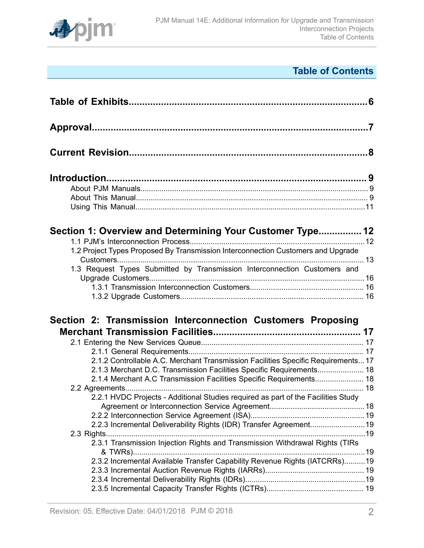

# **Table of Contents**

| Section 1: Overview and Determining Your Customer Type 12<br>1.2 Project Types Proposed By Transmission Interconnection Customers and Upgrade<br>1.3 Request Types Submitted by Transmission Interconnection Customers and                                                                                                                                                           |  |
|--------------------------------------------------------------------------------------------------------------------------------------------------------------------------------------------------------------------------------------------------------------------------------------------------------------------------------------------------------------------------------------|--|
| Section 2: Transmission Interconnection Customers Proposing<br>2.1.2 Controllable A.C. Merchant Transmission Facilities Specific Requirements 17<br>2.1.3 Merchant D.C. Transmission Facilities Specific Requirements 18<br>2.1.4 Merchant A.C Transmission Facilities Specific Requirements 18<br>2.2.1 HVDC Projects - Additional Studies required as part of the Facilities Study |  |
| 2.2.3 Incremental Deliverability Rights (IDR) Transfer Agreement 19<br>2.3.1 Transmission Injection Rights and Transmission Withdrawal Rights (TIRs<br>2.3.2 Incremental Available Transfer Capability Revenue Rights (IATCRRs)19                                                                                                                                                    |  |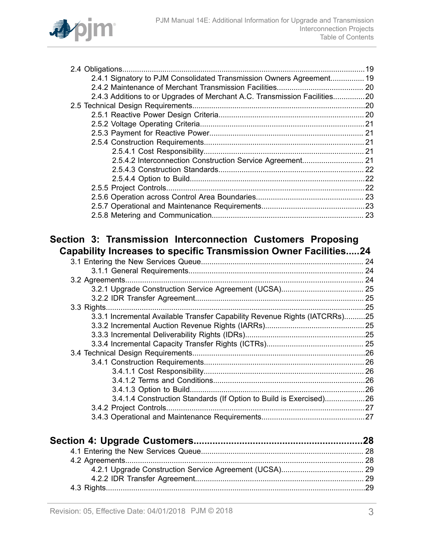

| 2.4.1 Signatory to PJM Consolidated Transmission Owners Agreement 19      |  |
|---------------------------------------------------------------------------|--|
|                                                                           |  |
| 2.4.3 Additions to or Upgrades of Merchant A.C. Transmission Facilities20 |  |
|                                                                           |  |
|                                                                           |  |
|                                                                           |  |
|                                                                           |  |
|                                                                           |  |
|                                                                           |  |
|                                                                           |  |
|                                                                           |  |
|                                                                           |  |
|                                                                           |  |
|                                                                           |  |
|                                                                           |  |
|                                                                           |  |

## **Section 3: Transmission [Interconnection](#page-23-0) Customers Proposing Capability Increases to specific Transmission Owner [Facilities.....24](#page-23-0)**

| 3.3.1 Incremental Available Transfer Capability Revenue Rights (IATCRRs)25 |  |
|----------------------------------------------------------------------------|--|
|                                                                            |  |
|                                                                            |  |
|                                                                            |  |
|                                                                            |  |
|                                                                            |  |
|                                                                            |  |
|                                                                            |  |
|                                                                            |  |
| 3.4.1.4 Construction Standards (If Option to Build is Exercised)26         |  |
|                                                                            |  |
|                                                                            |  |
|                                                                            |  |
|                                                                            |  |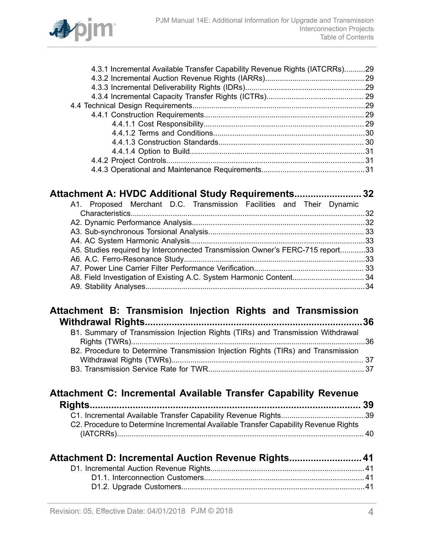| 4.3.1 Incremental Available Transfer Capability Revenue Rights (IATCRRs)29 |  |
|----------------------------------------------------------------------------|--|
|                                                                            |  |
|                                                                            |  |
|                                                                            |  |
|                                                                            |  |
|                                                                            |  |
|                                                                            |  |
|                                                                            |  |
|                                                                            |  |
|                                                                            |  |
|                                                                            |  |
|                                                                            |  |
|                                                                            |  |

| Attachment A: HVDC Additional Study Requirements 32                           |  |
|-------------------------------------------------------------------------------|--|
| A1. Proposed Merchant D.C. Transmission Facilities and Their Dynamic          |  |
|                                                                               |  |
|                                                                               |  |
|                                                                               |  |
|                                                                               |  |
| A5. Studies required by Interconnected Transmission Owner's FERC-715 report33 |  |
|                                                                               |  |
|                                                                               |  |
|                                                                               |  |
|                                                                               |  |
|                                                                               |  |

## **Attachment B: Transmision Injection Rights and [Transmission](#page-35-0) Withdrawal [Rights.................................................................................36](#page-35-0)**

| B1. Summary of Transmission Injection Rights (TIRs) and Transmission Withdrawal  |  |
|----------------------------------------------------------------------------------|--|
|                                                                                  |  |
| B2. Procedure to Determine Transmission Injection Rights (TIRs) and Transmission |  |
|                                                                                  |  |
|                                                                                  |  |

## **Attachment C: [Incremental](#page-38-0) Available Transfer Capability Revenue**

| C2. Procedure to Determine Incremental Available Transfer Capability Revenue Rights |  |
|-------------------------------------------------------------------------------------|--|
|                                                                                     |  |

| Attachment D: Incremental Auction Revenue Rights 41 |  |
|-----------------------------------------------------|--|
|                                                     |  |
|                                                     |  |
|                                                     |  |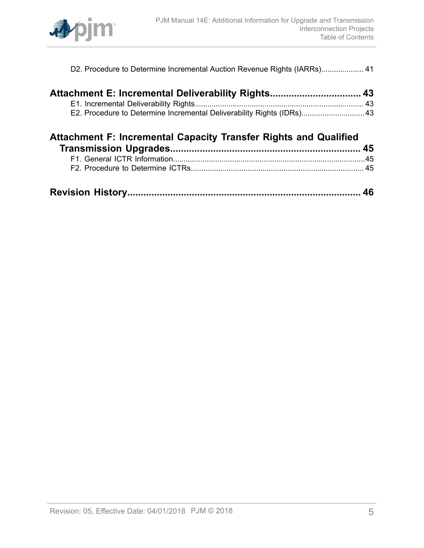

| Attachment E: Incremental Deliverability Rights 43                    |  |
|-----------------------------------------------------------------------|--|
|                                                                       |  |
| E2. Procedure to Determine Incremental Deliverability Rights (IDRs)43 |  |

| <b>Attachment F: Incremental Capacity Transfer Rights and Qualified</b> |  |
|-------------------------------------------------------------------------|--|
|                                                                         |  |
|                                                                         |  |
|                                                                         |  |
|                                                                         |  |

|--|--|--|--|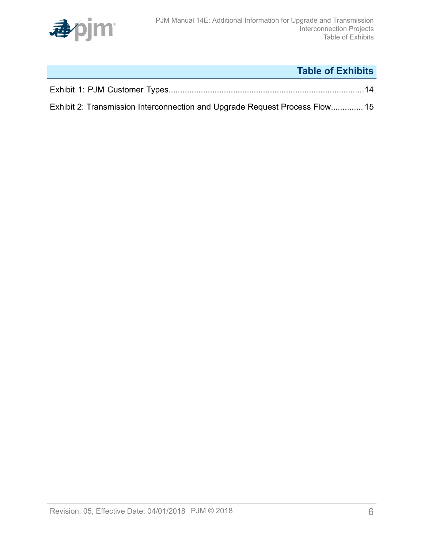

# **Table of Exhibits**

<span id="page-5-0"></span>

| Exhibit 2: Transmission Interconnection and Upgrade Request Process Flow 15 |  |
|-----------------------------------------------------------------------------|--|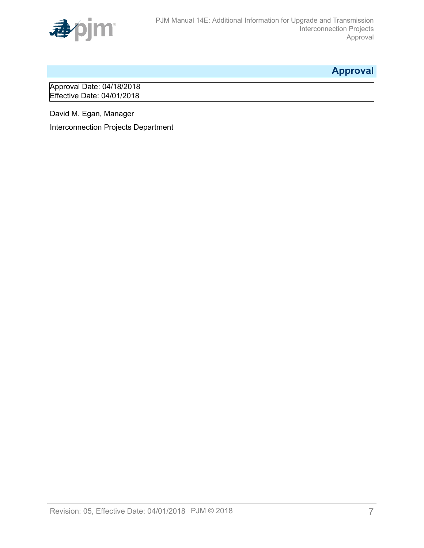

# <span id="page-6-0"></span>**Approval**

Approval Date: 04/18/2018 Effective Date: 04/01/2018

David M. Egan, Manager

Interconnection Projects Department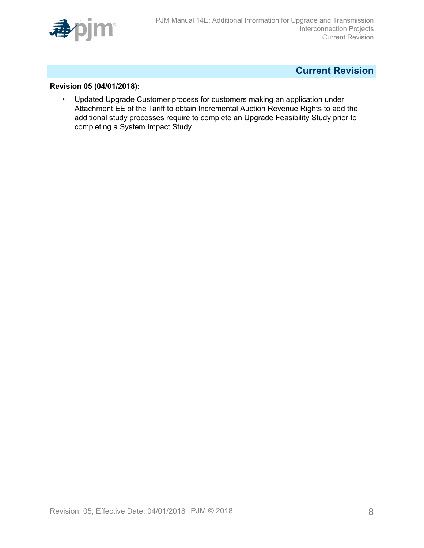

## <span id="page-7-0"></span>**Current Revision**

### **Revision 05 (04/01/2018):**

• Updated Upgrade Customer process for customers making an application under Attachment EE of the Tariff to obtain Incremental Auction Revenue Rights to add the additional study processes require to complete an Upgrade Feasibility Study prior to completing a System Impact Study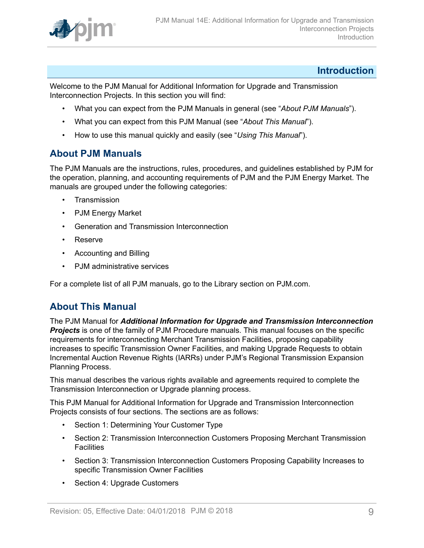

### <span id="page-8-0"></span>**Introduction**

Welcome to the PJM Manual for Additional Information for Upgrade and Transmission Interconnection Projects. In this section you will find:

- What you can expect from the PJM Manuals in general (see "*About PJM Manuals*").
- What you can expect from this PJM Manual (see "*About This Manual*").
- How to use this manual quickly and easily (see "*Using This Manual*").

## <span id="page-8-1"></span>**About PJM Manuals**

The PJM Manuals are the instructions, rules, procedures, and guidelines established by PJM for the operation, planning, and accounting requirements of PJM and the PJM Energy Market. The manuals are grouped under the following categories:

- **Transmission**
- PJM Energy Market
- Generation and Transmission Interconnection
- Reserve
- Accounting and Billing
- PJM administrative services

For a complete list of all PJM manuals, go to the Library section on PJM.com.

### <span id="page-8-2"></span>**About This Manual**

The PJM Manual for *Additional Information for Upgrade and Transmission Interconnection* **Projects** is one of the family of PJM Procedure manuals. This manual focuses on the specific requirements for interconnecting Merchant Transmission Facilities, proposing capability increases to specific Transmission Owner Facilities, and making Upgrade Requests to obtain Incremental Auction Revenue Rights (IARRs) under PJM's Regional Transmission Expansion Planning Process.

This manual describes the various rights available and agreements required to complete the Transmission Interconnection or Upgrade planning process.

This PJM Manual for Additional Information for Upgrade and Transmission Interconnection Projects consists of four sections. The sections are as follows:

- Section 1: Determining Your Customer Type
- Section 2: Transmission Interconnection Customers Proposing Merchant Transmission **Facilities**
- Section 3: Transmission Interconnection Customers Proposing Capability Increases to specific Transmission Owner Facilities
- Section 4: Upgrade Customers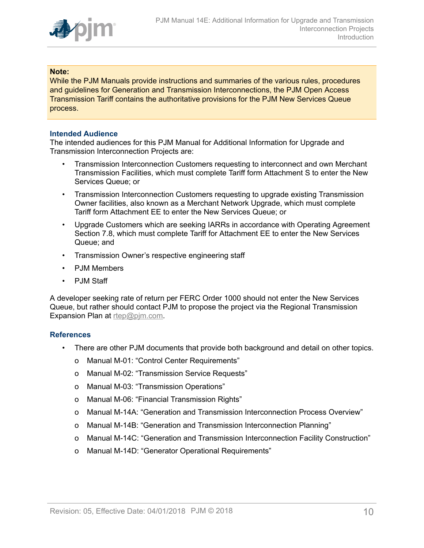

#### **Note:**

While the PJM Manuals provide instructions and summaries of the various rules, procedures and guidelines for Generation and Transmission Interconnections, the PJM Open Access Transmission Tariff contains the authoritative provisions for the PJM New Services Queue process.

#### **Intended Audience**

The intended audiences for this PJM Manual for Additional Information for Upgrade and Transmission Interconnection Projects are:

- Transmission Interconnection Customers requesting to interconnect and own Merchant Transmission Facilities, which must complete Tariff form Attachment S to enter the New Services Queue; or
- Transmission Interconnection Customers requesting to upgrade existing Transmission Owner facilities, also known as a Merchant Network Upgrade, which must complete Tariff form Attachment EE to enter the New Services Queue; or
- Upgrade Customers which are seeking IARRs in accordance with Operating Agreement Section 7.8, which must complete Tariff for Attachment EE to enter the New Services Queue; and
- Transmission Owner's respective engineering staff
- PJM Members
- PJM Staff

A developer seeking rate of return per FERC Order 1000 should not enter the New Services Queue, but rather should contact PJM to propose the project via the Regional Transmission Expansion Plan at [rtep@pjm.com](mailto:rtep@pjm.com).

#### **References**

- There are other PJM documents that provide both background and detail on other topics.
	- o Manual M-01: "Control Center Requirements"
	- o Manual M-02: "Transmission Service Requests"
	- o Manual M-03: "Transmission Operations"
	- o Manual M-06: "Financial Transmission Rights"
	- o Manual M-14A: "Generation and Transmission Interconnection Process Overview"
	- o Manual M-14B: "Generation and Transmission Interconnection Planning"
	- o Manual M-14C: "Generation and Transmission Interconnection Facility Construction"
	- o Manual M-14D: "Generator Operational Requirements"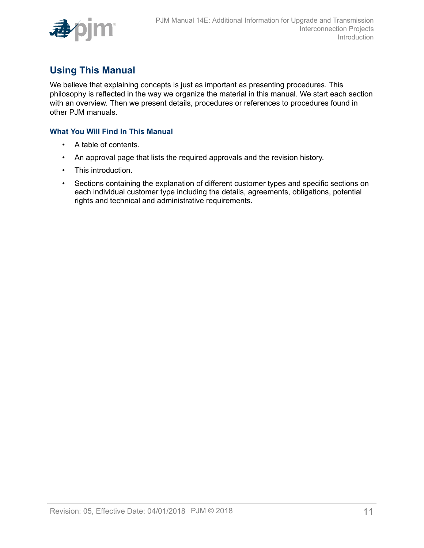

# <span id="page-10-0"></span>**Using This Manual**

We believe that explaining concepts is just as important as presenting procedures. This philosophy is reflected in the way we organize the material in this manual. We start each section with an overview. Then we present details, procedures or references to procedures found in other PJM manuals.

### **What You Will Find In This Manual**

- A table of contents.
- An approval page that lists the required approvals and the revision history.
- This introduction.
- Sections containing the explanation of different customer types and specific sections on each individual customer type including the details, agreements, obligations, potential rights and technical and administrative requirements.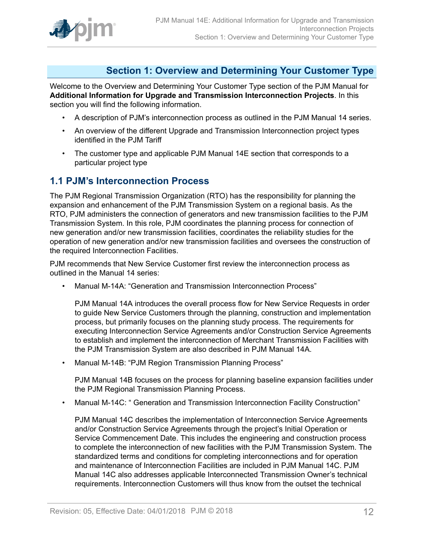

## <span id="page-11-0"></span>**Section 1: Overview and Determining Your Customer Type**

Welcome to the Overview and Determining Your Customer Type section of the PJM Manual for **Additional Information for Upgrade and Transmission Interconnection Projects**. In this section you will find the following information.

- A description of PJM's interconnection process as outlined in the PJM Manual 14 series.
- An overview of the different Upgrade and Transmission Interconnection project types identified in the PJM Tariff
- The customer type and applicable PJM Manual 14E section that corresponds to a particular project type

### <span id="page-11-1"></span>**1.1 PJM's Interconnection Process**

The PJM Regional Transmission Organization (RTO) has the responsibility for planning the expansion and enhancement of the PJM Transmission System on a regional basis. As the RTO, PJM administers the connection of generators and new transmission facilities to the PJM Transmission System. In this role, PJM coordinates the planning process for connection of new generation and/or new transmission facilities, coordinates the reliability studies for the operation of new generation and/or new transmission facilities and oversees the construction of the required Interconnection Facilities.

PJM recommends that New Service Customer first review the interconnection process as outlined in the Manual 14 series:

• Manual M-14A: "Generation and Transmission Interconnection Process"

PJM Manual 14A introduces the overall process flow for New Service Requests in order to guide New Service Customers through the planning, construction and implementation process, but primarily focuses on the planning study process. The requirements for executing Interconnection Service Agreements and/or Construction Service Agreements to establish and implement the interconnection of Merchant Transmission Facilities with the PJM Transmission System are also described in PJM Manual 14A.

• Manual M-14B: "PJM Region Transmission Planning Process"

PJM Manual 14B focuses on the process for planning baseline expansion facilities under the PJM Regional Transmission Planning Process.

• Manual M-14C: " Generation and Transmission Interconnection Facility Construction"

PJM Manual 14C describes the implementation of Interconnection Service Agreements and/or Construction Service Agreements through the project's Initial Operation or Service Commencement Date. This includes the engineering and construction process to complete the interconnection of new facilities with the PJM Transmission System. The standardized terms and conditions for completing interconnections and for operation and maintenance of Interconnection Facilities are included in PJM Manual 14C. PJM Manual 14C also addresses applicable Interconnected Transmission Owner's technical requirements. Interconnection Customers will thus know from the outset the technical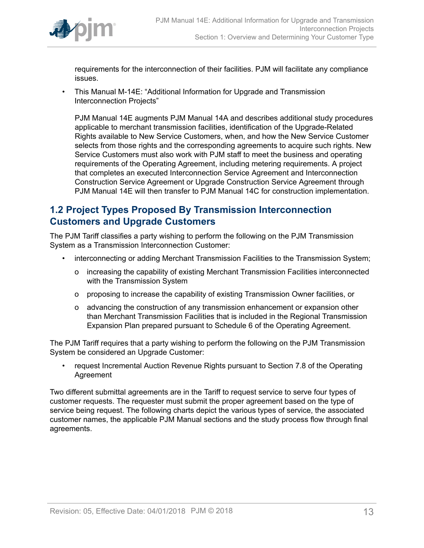

requirements for the interconnection of their facilities. PJM will facilitate any compliance issues.

• This Manual M-14E: "Additional Information for Upgrade and Transmission Interconnection Projects"

PJM Manual 14E augments PJM Manual 14A and describes additional study procedures applicable to merchant transmission facilities, identification of the Upgrade-Related Rights available to New Service Customers, when, and how the New Service Customer selects from those rights and the corresponding agreements to acquire such rights. New Service Customers must also work with PJM staff to meet the business and operating requirements of the Operating Agreement, including metering requirements. A project that completes an executed Interconnection Service Agreement and Interconnection Construction Service Agreement or Upgrade Construction Service Agreement through PJM Manual 14E will then transfer to PJM Manual 14C for construction implementation.

## <span id="page-12-0"></span>**1.2 Project Types Proposed By Transmission Interconnection Customers and Upgrade Customers**

The PJM Tariff classifies a party wishing to perform the following on the PJM Transmission System as a Transmission Interconnection Customer:

- interconnecting or adding Merchant Transmission Facilities to the Transmission System;
	- o increasing the capability of existing Merchant Transmission Facilities interconnected with the Transmission System
	- o proposing to increase the capability of existing Transmission Owner facilities, or
	- o advancing the construction of any transmission enhancement or expansion other than Merchant Transmission Facilities that is included in the Regional Transmission Expansion Plan prepared pursuant to Schedule 6 of the Operating Agreement.

The PJM Tariff requires that a party wishing to perform the following on the PJM Transmission System be considered an Upgrade Customer:

• request Incremental Auction Revenue Rights pursuant to Section 7.8 of the Operating Agreement

Two different submittal agreements are in the Tariff to request service to serve four types of customer requests. The requester must submit the proper agreement based on the type of service being request. The following charts depict the various types of service, the associated customer names, the applicable PJM Manual sections and the study process flow through final agreements.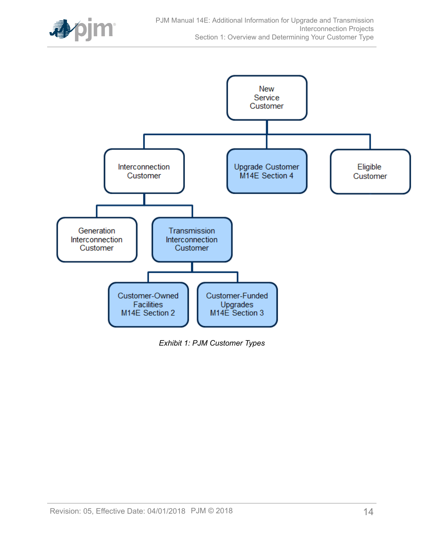

<span id="page-13-0"></span>

*Exhibit 1: PJM Customer Types*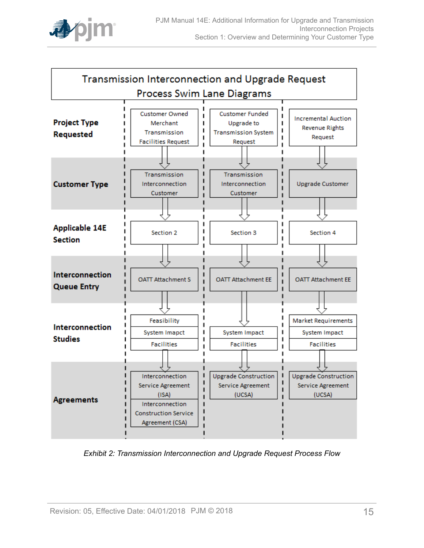

<span id="page-14-0"></span>

*Exhibit 2: Transmission Interconnection and Upgrade Request Process Flow*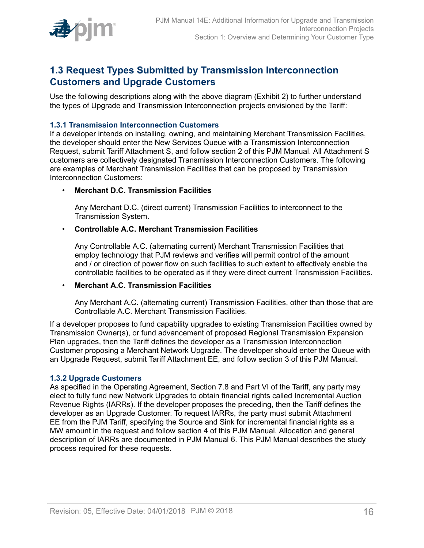

## <span id="page-15-0"></span>**1.3 Request Types Submitted by Transmission Interconnection Customers and Upgrade Customers**

Use the following descriptions along with the above diagram (Exhibit 2) to further understand the types of Upgrade and Transmission Interconnection projects envisioned by the Tariff:

### <span id="page-15-1"></span>**1.3.1 Transmission Interconnection Customers**

If a developer intends on installing, owning, and maintaining Merchant Transmission Facilities, the developer should enter the New Services Queue with a Transmission Interconnection Request, submit Tariff Attachment S, and follow section 2 of this PJM Manual. All Attachment S customers are collectively designated Transmission Interconnection Customers. The following are examples of Merchant Transmission Facilities that can be proposed by Transmission Interconnection Customers:

### • **Merchant D.C. Transmission Facilities**

Any Merchant D.C. (direct current) Transmission Facilities to interconnect to the Transmission System.

### • **Controllable A.C. Merchant Transmission Facilities**

Any Controllable A.C. (alternating current) Merchant Transmission Facilities that employ technology that PJM reviews and verifies will permit control of the amount and / or direction of power flow on such facilities to such extent to effectively enable the controllable facilities to be operated as if they were direct current Transmission Facilities.

### • **Merchant A.C. Transmission Facilities**

Any Merchant A.C. (alternating current) Transmission Facilities, other than those that are Controllable A.C. Merchant Transmission Facilities.

If a developer proposes to fund capability upgrades to existing Transmission Facilities owned by Transmission Owner(s), or fund advancement of proposed Regional Transmission Expansion Plan upgrades, then the Tariff defines the developer as a Transmission Interconnection Customer proposing a Merchant Network Upgrade. The developer should enter the Queue with an Upgrade Request, submit Tariff Attachment EE, and follow section 3 of this PJM Manual.

#### <span id="page-15-2"></span>**1.3.2 Upgrade Customers**

As specified in the Operating Agreement, Section 7.8 and Part VI of the Tariff, any party may elect to fully fund new Network Upgrades to obtain financial rights called Incremental Auction Revenue Rights (IARRs). If the developer proposes the preceding, then the Tariff defines the developer as an Upgrade Customer. To request IARRs, the party must submit Attachment EE from the PJM Tariff, specifying the Source and Sink for incremental financial rights as a MW amount in the request and follow section 4 of this PJM Manual. Allocation and general description of IARRs are documented in PJM Manual 6. This PJM Manual describes the study process required for these requests.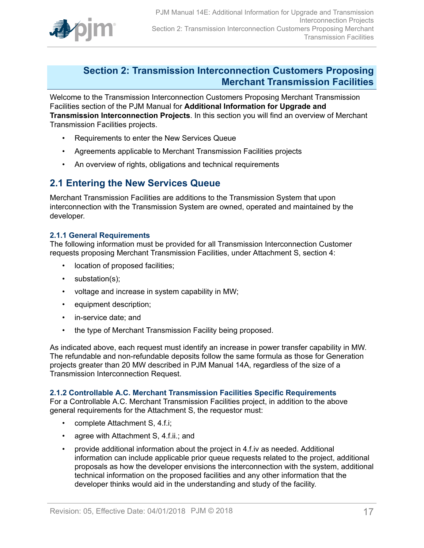

### <span id="page-16-0"></span>**Section 2: Transmission Interconnection Customers Proposing Merchant Transmission Facilities**

Welcome to the Transmission Interconnection Customers Proposing Merchant Transmission Facilities section of the PJM Manual for **Additional Information for Upgrade and Transmission Interconnection Projects**. In this section you will find an overview of Merchant Transmission Facilities projects.

- Requirements to enter the New Services Queue
- Agreements applicable to Merchant Transmission Facilities projects
- An overview of rights, obligations and technical requirements

### <span id="page-16-1"></span>**2.1 Entering the New Services Queue**

Merchant Transmission Facilities are additions to the Transmission System that upon interconnection with the Transmission System are owned, operated and maintained by the developer.

#### <span id="page-16-2"></span>**2.1.1 General Requirements**

The following information must be provided for all Transmission Interconnection Customer requests proposing Merchant Transmission Facilities, under Attachment S, section 4:

- location of proposed facilities;
- substation(s);
- voltage and increase in system capability in MW;
- equipment description;
- in-service date; and
- the type of Merchant Transmission Facility being proposed.

As indicated above, each request must identify an increase in power transfer capability in MW. The refundable and non-refundable deposits follow the same formula as those for Generation projects greater than 20 MW described in PJM Manual 14A, regardless of the size of a Transmission Interconnection Request.

#### <span id="page-16-3"></span>**2.1.2 Controllable A.C. Merchant Transmission Facilities Specific Requirements**

For a Controllable A.C. Merchant Transmission Facilities project, in addition to the above general requirements for the Attachment S, the requestor must:

- complete Attachment S, 4.f.i;
- agree with Attachment S, 4.f.ii.; and
- provide additional information about the project in 4.f.iv as needed. Additional information can include applicable prior queue requests related to the project, additional proposals as how the developer envisions the interconnection with the system, additional technical information on the proposed facilities and any other information that the developer thinks would aid in the understanding and study of the facility.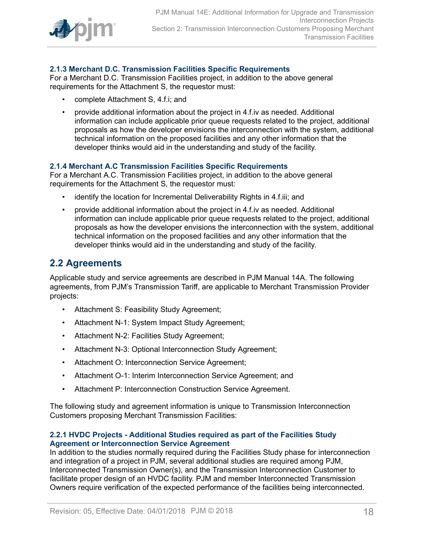

### <span id="page-17-0"></span>**2.1.3 Merchant D.C. Transmission Facilities Specific Requirements**

For a Merchant D.C. Transmission Facilities project, in addition to the above general requirements for the Attachment S, the requestor must:

- complete Attachment S, 4.f.i; and
- provide additional information about the project in 4.f.iv as needed. Additional information can include applicable prior queue requests related to the project, additional proposals as how the developer envisions the interconnection with the system, additional technical information on the proposed facilities and any other information that the developer thinks would aid in the understanding and study of the facility.

### <span id="page-17-1"></span>**2.1.4 Merchant A.C Transmission Facilities Specific Requirements**

For a Merchant A.C. Transmission Facilities project, in addition to the above general requirements for the Attachment S, the requestor must:

- identify the location for Incremental Deliverability Rights in 4.f.iii; and
- provide additional information about the project in 4.f.iv as needed. Additional information can include applicable prior queue requests related to the project, additional proposals as how the developer envisions the interconnection with the system, additional technical information on the proposed facilities and any other information that the developer thinks would aid in the understanding and study of the facility.

### <span id="page-17-2"></span>**2.2 Agreements**

Applicable study and service agreements are described in PJM Manual 14A. The following agreements, from PJM's Transmission Tariff, are applicable to Merchant Transmission Provider projects:

- Attachment S: Feasibility Study Agreement;
- Attachment N-1: System Impact Study Agreement;
- Attachment N-2: Facilities Study Agreement;
- Attachment N-3: Optional Interconnection Study Agreement;
- Attachment O: Interconnection Service Agreement;
- Attachment O-1: Interim Interconnection Service Agreement; and
- Attachment P: Interconnection Construction Service Agreement.

The following study and agreement information is unique to Transmission Interconnection Customers proposing Merchant Transmission Facilities:

#### <span id="page-17-3"></span>**2.2.1 HVDC Projects - Additional Studies required as part of the Facilities Study Agreement or Interconnection Service Agreement**

In addition to the studies normally required during the Facilities Study phase for interconnection and integration of a project in PJM, several additional studies are required among PJM, Interconnected Transmission Owner(s), and the Transmission Interconnection Customer to facilitate proper design of an HVDC facility. PJM and member Interconnected Transmission Owners require verification of the expected performance of the facilities being interconnected.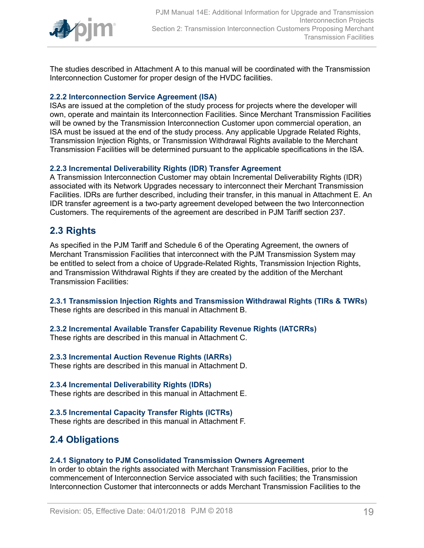

The studies described in Attachment A to this manual will be coordinated with the Transmission Interconnection Customer for proper design of the HVDC facilities.

### <span id="page-18-0"></span>**2.2.2 Interconnection Service Agreement (ISA)**

ISAs are issued at the completion of the study process for projects where the developer will own, operate and maintain its Interconnection Facilities. Since Merchant Transmission Facilities will be owned by the Transmission Interconnection Customer upon commercial operation, an ISA must be issued at the end of the study process. Any applicable Upgrade Related Rights, Transmission Injection Rights, or Transmission Withdrawal Rights available to the Merchant Transmission Facilities will be determined pursuant to the applicable specifications in the ISA.

### <span id="page-18-1"></span>**2.2.3 Incremental Deliverability Rights (IDR) Transfer Agreement**

A Transmission Interconnection Customer may obtain Incremental Deliverability Rights (IDR) associated with its Network Upgrades necessary to interconnect their Merchant Transmission Facilities. IDRs are further described, including their transfer, in this manual in Attachment E. An IDR transfer agreement is a two-party agreement developed between the two Interconnection Customers. The requirements of the agreement are described in PJM Tariff section 237.

## <span id="page-18-2"></span>**2.3 Rights**

As specified in the PJM Tariff and Schedule 6 of the Operating Agreement, the owners of Merchant Transmission Facilities that interconnect with the PJM Transmission System may be entitled to select from a choice of Upgrade-Related Rights, Transmission Injection Rights, and Transmission Withdrawal Rights if they are created by the addition of the Merchant Transmission Facilities:

<span id="page-18-3"></span>**2.3.1 Transmission Injection Rights and Transmission Withdrawal Rights (TIRs & TWRs)** These rights are described in this manual in Attachment B.

### <span id="page-18-4"></span>**2.3.2 Incremental Available Transfer Capability Revenue Rights (IATCRRs)**

These rights are described in this manual in Attachment C.

### <span id="page-18-5"></span>**2.3.3 Incremental Auction Revenue Rights (IARRs)**

These rights are described in this manual in Attachment D.

### <span id="page-18-6"></span>**2.3.4 Incremental Deliverability Rights (IDRs)**

These rights are described in this manual in Attachment E.

### <span id="page-18-7"></span>**2.3.5 Incremental Capacity Transfer Rights (ICTRs)**

These rights are described in this manual in Attachment F.

## <span id="page-18-8"></span>**2.4 Obligations**

### <span id="page-18-9"></span>**2.4.1 Signatory to PJM Consolidated Transmission Owners Agreement**

In order to obtain the rights associated with Merchant Transmission Facilities, prior to the commencement of Interconnection Service associated with such facilities; the Transmission Interconnection Customer that interconnects or adds Merchant Transmission Facilities to the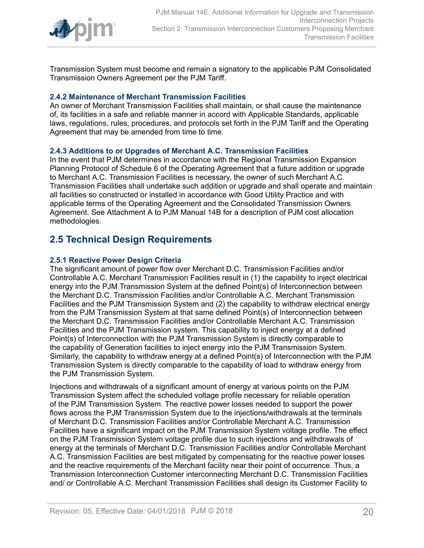

Transmission System must become and remain a signatory to the applicable PJM Consolidated Transmission Owners Agreement per the PJM Tariff.

### <span id="page-19-0"></span>**2.4.2 Maintenance of Merchant Transmission Facilities**

An owner of Merchant Transmission Facilities shall maintain, or shall cause the maintenance of, its facilities in a safe and reliable manner in accord with Applicable Standards, applicable laws, regulations, rules, procedures, and protocols set forth in the PJM Tariff and the Operating Agreement that may be amended from time to time.

### <span id="page-19-1"></span>**2.4.3 Additions to or Upgrades of Merchant A.C. Transmission Facilities**

In the event that PJM determines in accordance with the Regional Transmission Expansion Planning Protocol of Schedule 6 of the Operating Agreement that a future addition or upgrade to Merchant A.C. Transmission Facilities is necessary, the owner of such Merchant A.C. Transmission Facilities shall undertake such addition or upgrade and shall operate and maintain all facilities so constructed or installed in accordance with Good Utility Practice and with applicable terms of the Operating Agreement and the Consolidated Transmission Owners Agreement. See Attachment A to PJM Manual 14B for a description of PJM cost allocation methodologies.

## <span id="page-19-2"></span>**2.5 Technical Design Requirements**

### <span id="page-19-3"></span>**2.5.1 Reactive Power Design Criteria**

The significant amount of power flow over Merchant D.C. Transmission Facilities and/or Controllable A.C. Merchant Transmission Facilities result in (1) the capability to inject electrical energy into the PJM Transmission System at the defined Point(s) of Interconnection between the Merchant D.C. Transmission Facilities and/or Controllable A.C. Merchant Transmission Facilities and the PJM Transmission System and (2) the capability to withdraw electrical energy from the PJM Transmission System at that same defined Point(s) of Interconnection between the Merchant D.C. Transmission Facilities and/or Controllable Merchant A.C. Transmission Facilities and the PJM Transmission system. This capability to inject energy at a defined Point(s) of Interconnection with the PJM Transmission System is directly comparable to the capability of Generation facilities to inject energy into the PJM Transmission System. Similarly, the capability to withdraw energy at a defined Point(s) of Interconnection with the PJM Transmission System is directly comparable to the capability of load to withdraw energy from the PJM Transmission System.

Injections and withdrawals of a significant amount of energy at various points on the PJM Transmission System affect the scheduled voltage profile necessary for reliable operation of the PJM Transmission System. The reactive power losses needed to support the power flows across the PJM Transmission System due to the injections/withdrawals at the terminals of Merchant D.C. Transmission Facilities and/or Controllable Merchant A.C. Transmission Facilities have a significant impact on the PJM Transmission System voltage profile. The effect on the PJM Transmission System voltage profile due to such injections and withdrawals of energy at the terminals of Merchant D.C. Transmission Facilities and/or Controllable Merchant A.C. Transmission Facilities are best mitigated by compensating for the reactive power losses and the reactive requirements of the Merchant facility near their point of occurrence. Thus, a Transmission Interconnection Customer interconnecting Merchant D.C. Transmission Facilities and/ or Controllable A.C. Merchant Transmission Facilities shall design its Customer Facility to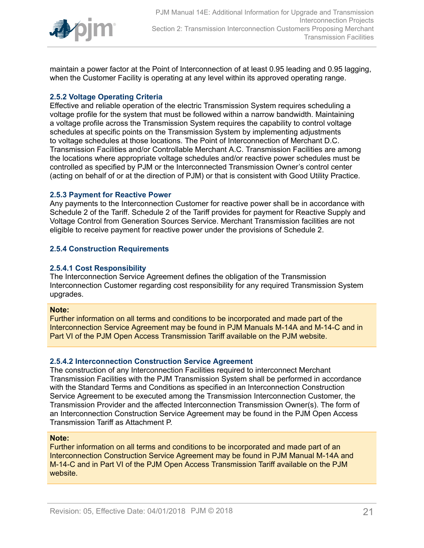

maintain a power factor at the Point of Interconnection of at least 0.95 leading and 0.95 lagging, when the Customer Facility is operating at any level within its approved operating range.

### <span id="page-20-0"></span>**2.5.2 Voltage Operating Criteria**

Effective and reliable operation of the electric Transmission System requires scheduling a voltage profile for the system that must be followed within a narrow bandwidth. Maintaining a voltage profile across the Transmission System requires the capability to control voltage schedules at specific points on the Transmission System by implementing adjustments to voltage schedules at those locations. The Point of Interconnection of Merchant D.C. Transmission Facilities and/or Controllable Merchant A.C. Transmission Facilities are among the locations where appropriate voltage schedules and/or reactive power schedules must be controlled as specified by PJM or the Interconnected Transmission Owner's control center (acting on behalf of or at the direction of PJM) or that is consistent with Good Utility Practice.

### <span id="page-20-1"></span>**2.5.3 Payment for Reactive Power**

Any payments to the Interconnection Customer for reactive power shall be in accordance with Schedule 2 of the Tariff. Schedule 2 of the Tariff provides for payment for Reactive Supply and Voltage Control from Generation Sources Service. Merchant Transmission facilities are not eligible to receive payment for reactive power under the provisions of Schedule 2.

### <span id="page-20-2"></span>**2.5.4 Construction Requirements**

#### <span id="page-20-3"></span>**2.5.4.1 Cost Responsibility**

The Interconnection Service Agreement defines the obligation of the Transmission Interconnection Customer regarding cost responsibility for any required Transmission System upgrades.

#### **Note:**

Further information on all terms and conditions to be incorporated and made part of the Interconnection Service Agreement may be found in PJM Manuals M-14A and M-14-C and in Part VI of the PJM Open Access Transmission Tariff available on the PJM website.

#### <span id="page-20-4"></span>**2.5.4.2 Interconnection Construction Service Agreement**

The construction of any Interconnection Facilities required to interconnect Merchant Transmission Facilities with the PJM Transmission System shall be performed in accordance with the Standard Terms and Conditions as specified in an Interconnection Construction Service Agreement to be executed among the Transmission Interconnection Customer, the Transmission Provider and the affected Interconnection Transmission Owner(s). The form of an Interconnection Construction Service Agreement may be found in the PJM Open Access Transmission Tariff as Attachment P.

#### **Note:**

Further information on all terms and conditions to be incorporated and made part of an Interconnection Construction Service Agreement may be found in PJM Manual M-14A and M-14-C and in Part VI of the PJM Open Access Transmission Tariff available on the PJM website.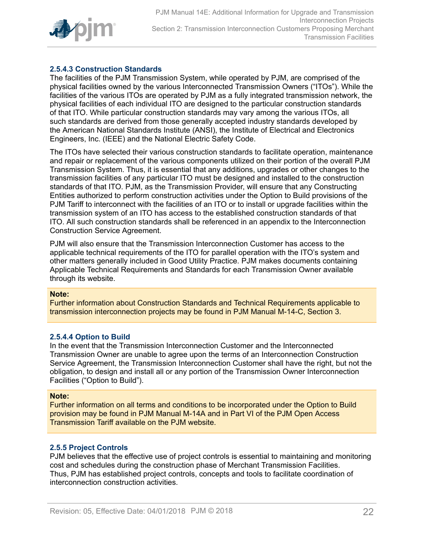

### <span id="page-21-0"></span>**2.5.4.3 Construction Standards**

The facilities of the PJM Transmission System, while operated by PJM, are comprised of the physical facilities owned by the various Interconnected Transmission Owners ("ITOs"). While the facilities of the various ITOs are operated by PJM as a fully integrated transmission network, the physical facilities of each individual ITO are designed to the particular construction standards of that ITO. While particular construction standards may vary among the various ITOs, all such standards are derived from those generally accepted industry standards developed by the American National Standards Institute (ANSI), the Institute of Electrical and Electronics Engineers, Inc. (IEEE) and the National Electric Safety Code.

The ITOs have selected their various construction standards to facilitate operation, maintenance and repair or replacement of the various components utilized on their portion of the overall PJM Transmission System. Thus, it is essential that any additions, upgrades or other changes to the transmission facilities of any particular ITO must be designed and installed to the construction standards of that ITO. PJM, as the Transmission Provider, will ensure that any Constructing Entities authorized to perform construction activities under the Option to Build provisions of the PJM Tariff to interconnect with the facilities of an ITO or to install or upgrade facilities within the transmission system of an ITO has access to the established construction standards of that ITO. All such construction standards shall be referenced in an appendix to the Interconnection Construction Service Agreement.

PJM will also ensure that the Transmission Interconnection Customer has access to the applicable technical requirements of the ITO for parallel operation with the ITO's system and other matters generally included in Good Utility Practice. PJM makes documents containing Applicable Technical Requirements and Standards for each Transmission Owner available through its website.

#### **Note:**

Further information about Construction Standards and Technical Requirements applicable to transmission interconnection projects may be found in PJM Manual M-14-C, Section 3.

### <span id="page-21-1"></span>**2.5.4.4 Option to Build**

In the event that the Transmission Interconnection Customer and the Interconnected Transmission Owner are unable to agree upon the terms of an Interconnection Construction Service Agreement, the Transmission Interconnection Customer shall have the right, but not the obligation, to design and install all or any portion of the Transmission Owner Interconnection Facilities ("Option to Build").

#### **Note:**

Further information on all terms and conditions to be incorporated under the Option to Build provision may be found in PJM Manual M-14A and in Part VI of the PJM Open Access Transmission Tariff available on the PJM website.

### <span id="page-21-2"></span>**2.5.5 Project Controls**

PJM believes that the effective use of project controls is essential to maintaining and monitoring cost and schedules during the construction phase of Merchant Transmission Facilities. Thus, PJM has established project controls, concepts and tools to facilitate coordination of interconnection construction activities.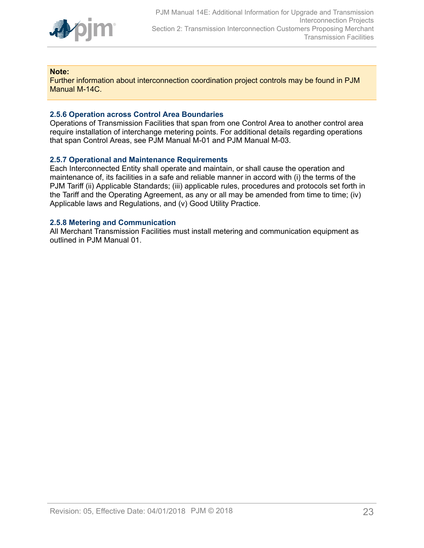

#### **Note:**

Further information about interconnection coordination project controls may be found in PJM Manual M-14C.

#### <span id="page-22-0"></span>**2.5.6 Operation across Control Area Boundaries**

Operations of Transmission Facilities that span from one Control Area to another control area require installation of interchange metering points. For additional details regarding operations that span Control Areas, see PJM Manual M-01 and PJM Manual M-03.

#### <span id="page-22-1"></span>**2.5.7 Operational and Maintenance Requirements**

Each Interconnected Entity shall operate and maintain, or shall cause the operation and maintenance of, its facilities in a safe and reliable manner in accord with (i) the terms of the PJM Tariff (ii) Applicable Standards; (iii) applicable rules, procedures and protocols set forth in the Tariff and the Operating Agreement, as any or all may be amended from time to time; (iv) Applicable laws and Regulations, and (v) Good Utility Practice.

#### <span id="page-22-2"></span>**2.5.8 Metering and Communication**

All Merchant Transmission Facilities must install metering and communication equipment as outlined in PJM Manual 01.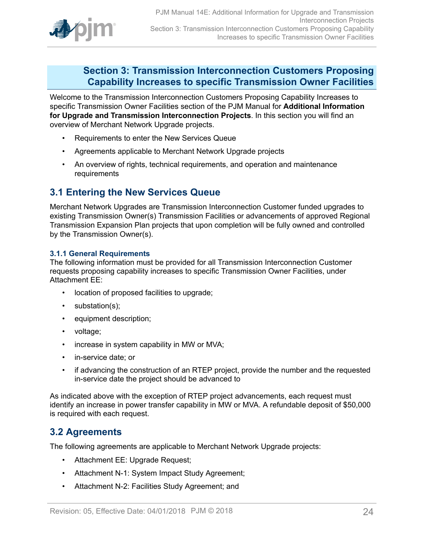

## <span id="page-23-0"></span>**Section 3: Transmission Interconnection Customers Proposing Capability Increases to specific Transmission Owner Facilities**

Welcome to the Transmission Interconnection Customers Proposing Capability Increases to specific Transmission Owner Facilities section of the PJM Manual for **Additional Information for Upgrade and Transmission Interconnection Projects**. In this section you will find an overview of Merchant Network Upgrade projects.

- Requirements to enter the New Services Queue
- Agreements applicable to Merchant Network Upgrade projects
- An overview of rights, technical requirements, and operation and maintenance requirements

### <span id="page-23-1"></span>**3.1 Entering the New Services Queue**

Merchant Network Upgrades are Transmission Interconnection Customer funded upgrades to existing Transmission Owner(s) Transmission Facilities or advancements of approved Regional Transmission Expansion Plan projects that upon completion will be fully owned and controlled by the Transmission Owner(s).

#### <span id="page-23-2"></span>**3.1.1 General Requirements**

The following information must be provided for all Transmission Interconnection Customer requests proposing capability increases to specific Transmission Owner Facilities, under Attachment EE:

- location of proposed facilities to upgrade;
- substation(s);
- equipment description;
- voltage;
- increase in system capability in MW or MVA;
- in-service date; or
- if advancing the construction of an RTEP project, provide the number and the requested in-service date the project should be advanced to

As indicated above with the exception of RTEP project advancements, each request must identify an increase in power transfer capability in MW or MVA. A refundable deposit of \$50,000 is required with each request.

### <span id="page-23-3"></span>**3.2 Agreements**

The following agreements are applicable to Merchant Network Upgrade projects:

- Attachment EE: Upgrade Request;
- Attachment N-1: System Impact Study Agreement;
- Attachment N-2: Facilities Study Agreement; and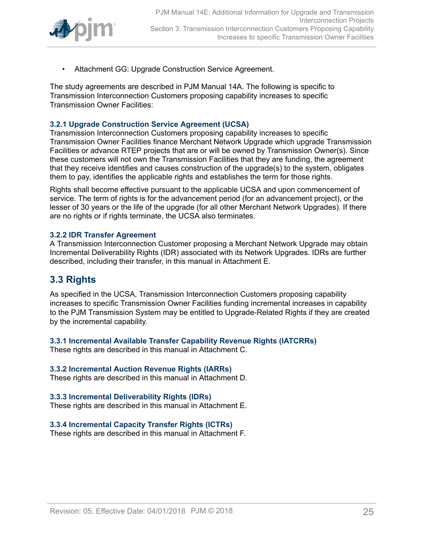

• Attachment GG: Upgrade Construction Service Agreement.

The study agreements are described in PJM Manual 14A. The following is specific to Transmission Interconnection Customers proposing capability increases to specific Transmission Owner Facilities:

### <span id="page-24-0"></span>**3.2.1 Upgrade Construction Service Agreement (UCSA)**

Transmission Interconnection Customers proposing capability increases to specific Transmission Owner Facilities finance Merchant Network Upgrade which upgrade Transmission Facilities or advance RTEP projects that are or will be owned by Transmission Owner(s). Since these customers will not own the Transmission Facilities that they are funding, the agreement that they receive identifies and causes construction of the upgrade(s) to the system, obligates them to pay, identifies the applicable rights and establishes the term for those rights.

Rights shall become effective pursuant to the applicable UCSA and upon commencement of service. The term of rights is for the advancement period (for an advancement project), or the lesser of 30 years or the life of the upgrade (for all other Merchant Network Upgrades). If there are no rights or if rights terminate, the UCSA also terminates.

### <span id="page-24-1"></span>**3.2.2 IDR Transfer Agreement**

A Transmission Interconnection Customer proposing a Merchant Network Upgrade may obtain Incremental Deliverability Rights (IDR) associated with its Network Upgrades. IDRs are further described, including their transfer, in this manual in Attachment E.

## <span id="page-24-2"></span>**3.3 Rights**

As specified in the UCSA, Transmission Interconnection Customers proposing capability increases to specific Transmission Owner Facilities funding incremental increases in capability to the PJM Transmission System may be entitled to Upgrade-Related Rights if they are created by the incremental capability.

### <span id="page-24-3"></span>**3.3.1 Incremental Available Transfer Capability Revenue Rights (IATCRRs)**

These rights are described in this manual in Attachment C.

#### <span id="page-24-4"></span>**3.3.2 Incremental Auction Revenue Rights (IARRs)**

These rights are described in this manual in Attachment D.

### <span id="page-24-5"></span>**3.3.3 Incremental Deliverability Rights (IDRs)**

These rights are described in this manual in Attachment E.

### <span id="page-24-6"></span>**3.3.4 Incremental Capacity Transfer Rights (ICTRs)**

These rights are described in this manual in Attachment F.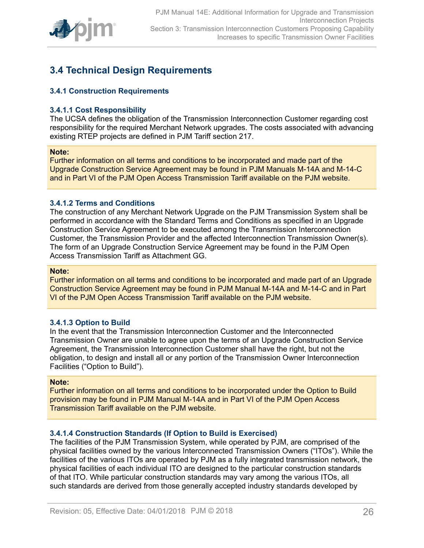

## <span id="page-25-0"></span>**3.4 Technical Design Requirements**

### <span id="page-25-1"></span>**3.4.1 Construction Requirements**

#### <span id="page-25-2"></span>**3.4.1.1 Cost Responsibility**

The UCSA defines the obligation of the Transmission Interconnection Customer regarding cost responsibility for the required Merchant Network upgrades. The costs associated with advancing existing RTEP projects are defined in PJM Tariff section 217.

#### **Note:**

Further information on all terms and conditions to be incorporated and made part of the Upgrade Construction Service Agreement may be found in PJM Manuals M-14A and M-14-C and in Part VI of the PJM Open Access Transmission Tariff available on the PJM website.

#### <span id="page-25-3"></span>**3.4.1.2 Terms and Conditions**

The construction of any Merchant Network Upgrade on the PJM Transmission System shall be performed in accordance with the Standard Terms and Conditions as specified in an Upgrade Construction Service Agreement to be executed among the Transmission Interconnection Customer, the Transmission Provider and the affected Interconnection Transmission Owner(s). The form of an Upgrade Construction Service Agreement may be found in the PJM Open Access Transmission Tariff as Attachment GG.

#### **Note:**

Further information on all terms and conditions to be incorporated and made part of an Upgrade Construction Service Agreement may be found in PJM Manual M-14A and M-14-C and in Part VI of the PJM Open Access Transmission Tariff available on the PJM website.

#### <span id="page-25-4"></span>**3.4.1.3 Option to Build**

In the event that the Transmission Interconnection Customer and the Interconnected Transmission Owner are unable to agree upon the terms of an Upgrade Construction Service Agreement, the Transmission Interconnection Customer shall have the right, but not the obligation, to design and install all or any portion of the Transmission Owner Interconnection Facilities ("Option to Build").

#### **Note:**

Further information on all terms and conditions to be incorporated under the Option to Build provision may be found in PJM Manual M-14A and in Part VI of the PJM Open Access Transmission Tariff available on the PJM website.

#### <span id="page-25-5"></span>**3.4.1.4 Construction Standards (If Option to Build is Exercised)**

The facilities of the PJM Transmission System, while operated by PJM, are comprised of the physical facilities owned by the various Interconnected Transmission Owners ("ITOs"). While the facilities of the various ITOs are operated by PJM as a fully integrated transmission network, the physical facilities of each individual ITO are designed to the particular construction standards of that ITO. While particular construction standards may vary among the various ITOs, all such standards are derived from those generally accepted industry standards developed by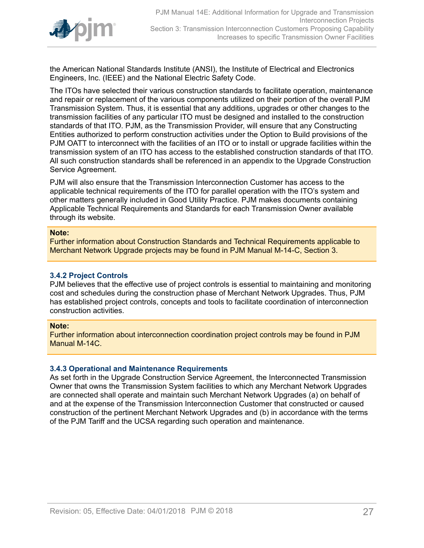

the American National Standards Institute (ANSI), the Institute of Electrical and Electronics Engineers, Inc. (IEEE) and the National Electric Safety Code.

The ITOs have selected their various construction standards to facilitate operation, maintenance and repair or replacement of the various components utilized on their portion of the overall PJM Transmission System. Thus, it is essential that any additions, upgrades or other changes to the transmission facilities of any particular ITO must be designed and installed to the construction standards of that ITO. PJM, as the Transmission Provider, will ensure that any Constructing Entities authorized to perform construction activities under the Option to Build provisions of the PJM OATT to interconnect with the facilities of an ITO or to install or upgrade facilities within the transmission system of an ITO has access to the established construction standards of that ITO. All such construction standards shall be referenced in an appendix to the Upgrade Construction Service Agreement.

PJM will also ensure that the Transmission Interconnection Customer has access to the applicable technical requirements of the ITO for parallel operation with the ITO's system and other matters generally included in Good Utility Practice. PJM makes documents containing Applicable Technical Requirements and Standards for each Transmission Owner available through its website.

#### **Note:**

Further information about Construction Standards and Technical Requirements applicable to Merchant Network Upgrade projects may be found in PJM Manual M-14-C, Section 3.

#### <span id="page-26-0"></span>**3.4.2 Project Controls**

PJM believes that the effective use of project controls is essential to maintaining and monitoring cost and schedules during the construction phase of Merchant Network Upgrades. Thus, PJM has established project controls, concepts and tools to facilitate coordination of interconnection construction activities.

#### **Note:**

Further information about interconnection coordination project controls may be found in PJM Manual M-14C.

#### <span id="page-26-1"></span>**3.4.3 Operational and Maintenance Requirements**

As set forth in the Upgrade Construction Service Agreement, the Interconnected Transmission Owner that owns the Transmission System facilities to which any Merchant Network Upgrades are connected shall operate and maintain such Merchant Network Upgrades (a) on behalf of and at the expense of the Transmission Interconnection Customer that constructed or caused construction of the pertinent Merchant Network Upgrades and (b) in accordance with the terms of the PJM Tariff and the UCSA regarding such operation and maintenance.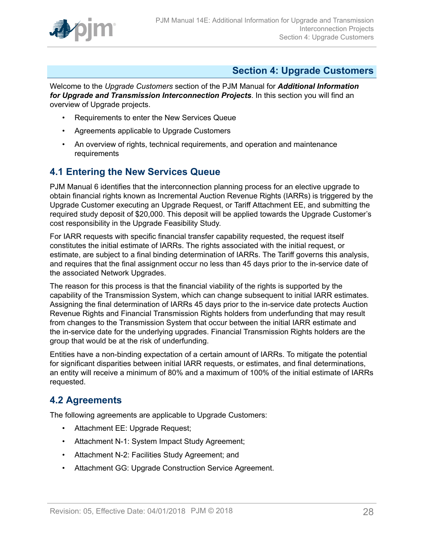

## <span id="page-27-0"></span>**Section 4: Upgrade Customers**

Welcome to the *Upgrade Customers* section of the PJM Manual for *Additional Information for Upgrade and Transmission Interconnection Projects*. In this section you will find an overview of Upgrade projects.

- Requirements to enter the New Services Queue
- Agreements applicable to Upgrade Customers
- An overview of rights, technical requirements, and operation and maintenance requirements

## <span id="page-27-1"></span>**4.1 Entering the New Services Queue**

PJM Manual 6 identifies that the interconnection planning process for an elective upgrade to obtain financial rights known as Incremental Auction Revenue Rights (IARRs) is triggered by the Upgrade Customer executing an Upgrade Request, or Tariff Attachment EE, and submitting the required study deposit of \$20,000. This deposit will be applied towards the Upgrade Customer's cost responsibility in the Upgrade Feasibility Study.

For IARR requests with specific financial transfer capability requested, the request itself constitutes the initial estimate of IARRs. The rights associated with the initial request, or estimate, are subject to a final binding determination of IARRs. The Tariff governs this analysis, and requires that the final assignment occur no less than 45 days prior to the in-service date of the associated Network Upgrades.

The reason for this process is that the financial viability of the rights is supported by the capability of the Transmission System, which can change subsequent to initial IARR estimates. Assigning the final determination of IARRs 45 days prior to the in-service date protects Auction Revenue Rights and Financial Transmission Rights holders from underfunding that may result from changes to the Transmission System that occur between the initial IARR estimate and the in-service date for the underlying upgrades. Financial Transmission Rights holders are the group that would be at the risk of underfunding.

Entities have a non-binding expectation of a certain amount of IARRs. To mitigate the potential for significant disparities between initial IARR requests, or estimates, and final determinations, an entity will receive a minimum of 80% and a maximum of 100% of the initial estimate of IARRs requested.

## <span id="page-27-2"></span>**4.2 Agreements**

The following agreements are applicable to Upgrade Customers:

- Attachment EE: Upgrade Request;
- Attachment N-1: System Impact Study Agreement;
- Attachment N-2: Facilities Study Agreement; and
- Attachment GG: Upgrade Construction Service Agreement.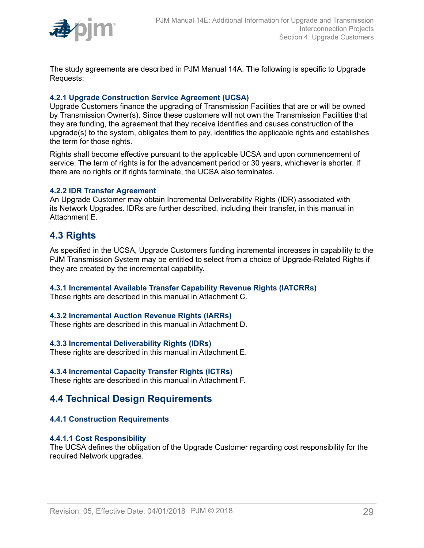

The study agreements are described in PJM Manual 14A. The following is specific to Upgrade Requests:

### <span id="page-28-0"></span>**4.2.1 Upgrade Construction Service Agreement (UCSA)**

Upgrade Customers finance the upgrading of Transmission Facilities that are or will be owned by Transmission Owner(s). Since these customers will not own the Transmission Facilities that they are funding, the agreement that they receive identifies and causes construction of the upgrade(s) to the system, obligates them to pay, identifies the applicable rights and establishes the term for those rights.

Rights shall become effective pursuant to the applicable UCSA and upon commencement of service. The term of rights is for the advancement period or 30 years, whichever is shorter. If there are no rights or if rights terminate, the UCSA also terminates.

#### <span id="page-28-1"></span>**4.2.2 IDR Transfer Agreement**

An Upgrade Customer may obtain Incremental Deliverability Rights (IDR) associated with its Network Upgrades. IDRs are further described, including their transfer, in this manual in Attachment E.

### <span id="page-28-2"></span>**4.3 Rights**

As specified in the UCSA, Upgrade Customers funding incremental increases in capability to the PJM Transmission System may be entitled to select from a choice of Upgrade-Related Rights if they are created by the incremental capability.

### <span id="page-28-3"></span>**4.3.1 Incremental Available Transfer Capability Revenue Rights (IATCRRs)**

These rights are described in this manual in Attachment C.

### <span id="page-28-4"></span>**4.3.2 Incremental Auction Revenue Rights (IARRs)**

These rights are described in this manual in Attachment D.

### <span id="page-28-5"></span>**4.3.3 Incremental Deliverability Rights (IDRs)**

These rights are described in this manual in Attachment E.

#### <span id="page-28-6"></span>**4.3.4 Incremental Capacity Transfer Rights (ICTRs)**

These rights are described in this manual in Attachment F.

### <span id="page-28-7"></span>**4.4 Technical Design Requirements**

### <span id="page-28-8"></span>**4.4.1 Construction Requirements**

#### <span id="page-28-9"></span>**4.4.1.1 Cost Responsibility**

The UCSA defines the obligation of the Upgrade Customer regarding cost responsibility for the required Network upgrades.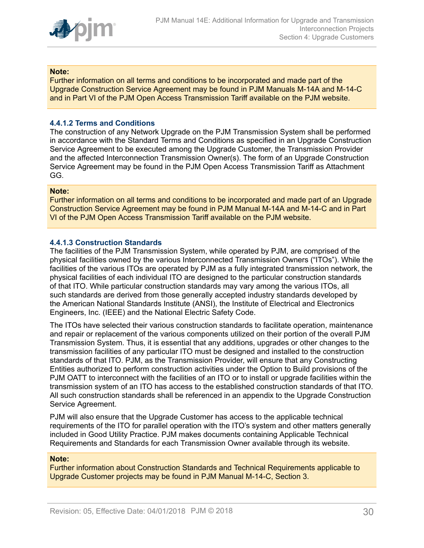

#### **Note:**

Further information on all terms and conditions to be incorporated and made part of the Upgrade Construction Service Agreement may be found in PJM Manuals M-14A and M-14-C and in Part VI of the PJM Open Access Transmission Tariff available on the PJM website.

### <span id="page-29-0"></span>**4.4.1.2 Terms and Conditions**

The construction of any Network Upgrade on the PJM Transmission System shall be performed in accordance with the Standard Terms and Conditions as specified in an Upgrade Construction Service Agreement to be executed among the Upgrade Customer, the Transmission Provider and the affected Interconnection Transmission Owner(s). The form of an Upgrade Construction Service Agreement may be found in the PJM Open Access Transmission Tariff as Attachment GG.

#### **Note:**

Further information on all terms and conditions to be incorporated and made part of an Upgrade Construction Service Agreement may be found in PJM Manual M-14A and M-14-C and in Part VI of the PJM Open Access Transmission Tariff available on the PJM website.

#### <span id="page-29-1"></span>**4.4.1.3 Construction Standards**

The facilities of the PJM Transmission System, while operated by PJM, are comprised of the physical facilities owned by the various Interconnected Transmission Owners ("ITOs"). While the facilities of the various ITOs are operated by PJM as a fully integrated transmission network, the physical facilities of each individual ITO are designed to the particular construction standards of that ITO. While particular construction standards may vary among the various ITOs, all such standards are derived from those generally accepted industry standards developed by the American National Standards Institute (ANSI), the Institute of Electrical and Electronics Engineers, Inc. (IEEE) and the National Electric Safety Code.

The ITOs have selected their various construction standards to facilitate operation, maintenance and repair or replacement of the various components utilized on their portion of the overall PJM Transmission System. Thus, it is essential that any additions, upgrades or other changes to the transmission facilities of any particular ITO must be designed and installed to the construction standards of that ITO. PJM, as the Transmission Provider, will ensure that any Constructing Entities authorized to perform construction activities under the Option to Build provisions of the PJM OATT to interconnect with the facilities of an ITO or to install or upgrade facilities within the transmission system of an ITO has access to the established construction standards of that ITO. All such construction standards shall be referenced in an appendix to the Upgrade Construction Service Agreement.

PJM will also ensure that the Upgrade Customer has access to the applicable technical requirements of the ITO for parallel operation with the ITO's system and other matters generally included in Good Utility Practice. PJM makes documents containing Applicable Technical Requirements and Standards for each Transmission Owner available through its website.

#### **Note:**

Further information about Construction Standards and Technical Requirements applicable to Upgrade Customer projects may be found in PJM Manual M-14-C, Section 3.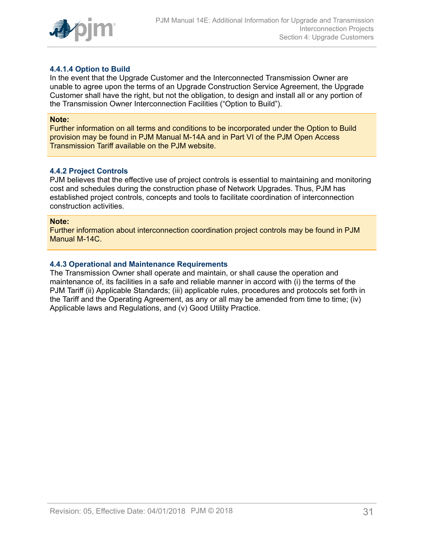

### <span id="page-30-0"></span>**4.4.1.4 Option to Build**

In the event that the Upgrade Customer and the Interconnected Transmission Owner are unable to agree upon the terms of an Upgrade Construction Service Agreement, the Upgrade Customer shall have the right, but not the obligation, to design and install all or any portion of the Transmission Owner Interconnection Facilities ("Option to Build").

#### **Note:**

Further information on all terms and conditions to be incorporated under the Option to Build provision may be found in PJM Manual M-14A and in Part VI of the PJM Open Access Transmission Tariff available on the PJM website.

#### <span id="page-30-1"></span>**4.4.2 Project Controls**

PJM believes that the effective use of project controls is essential to maintaining and monitoring cost and schedules during the construction phase of Network Upgrades. Thus, PJM has established project controls, concepts and tools to facilitate coordination of interconnection construction activities.

#### **Note:**

Further information about interconnection coordination project controls may be found in PJM Manual M-14C.

### <span id="page-30-2"></span>**4.4.3 Operational and Maintenance Requirements**

The Transmission Owner shall operate and maintain, or shall cause the operation and maintenance of, its facilities in a safe and reliable manner in accord with (i) the terms of the PJM Tariff (ii) Applicable Standards; (iii) applicable rules, procedures and protocols set forth in the Tariff and the Operating Agreement, as any or all may be amended from time to time; (iv) Applicable laws and Regulations, and (v) Good Utility Practice.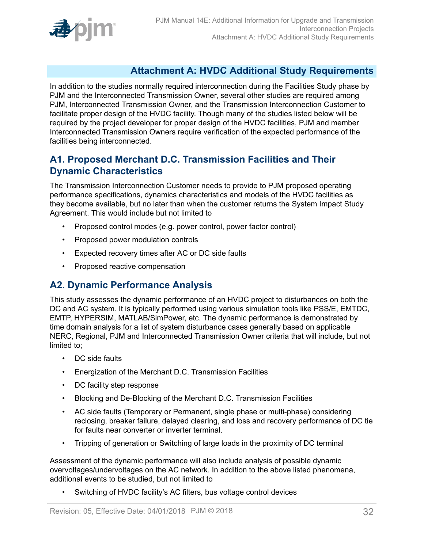

## <span id="page-31-0"></span>**Attachment A: HVDC Additional Study Requirements**

In addition to the studies normally required interconnection during the Facilities Study phase by PJM and the Interconnected Transmission Owner, several other studies are required among PJM, Interconnected Transmission Owner, and the Transmission Interconnection Customer to facilitate proper design of the HVDC facility. Though many of the studies listed below will be required by the project developer for proper design of the HVDC facilities, PJM and member Interconnected Transmission Owners require verification of the expected performance of the facilities being interconnected.

## <span id="page-31-1"></span>**A1. Proposed Merchant D.C. Transmission Facilities and Their Dynamic Characteristics**

The Transmission Interconnection Customer needs to provide to PJM proposed operating performance specifications, dynamics characteristics and models of the HVDC facilities as they become available, but no later than when the customer returns the System Impact Study Agreement. This would include but not limited to

- Proposed control modes (e.g. power control, power factor control)
- Proposed power modulation controls
- Expected recovery times after AC or DC side faults
- Proposed reactive compensation

## <span id="page-31-2"></span>**A2. Dynamic Performance Analysis**

This study assesses the dynamic performance of an HVDC project to disturbances on both the DC and AC system. It is typically performed using various simulation tools like PSS/E, EMTDC, EMTP, HYPERSIM, MATLAB/SimPower, etc. The dynamic performance is demonstrated by time domain analysis for a list of system disturbance cases generally based on applicable NERC, Regional, PJM and Interconnected Transmission Owner criteria that will include, but not limited to;

- DC side faults
- Energization of the Merchant D.C. Transmission Facilities
- DC facility step response
- Blocking and De-Blocking of the Merchant D.C. Transmission Facilities
- AC side faults (Temporary or Permanent, single phase or multi-phase) considering reclosing, breaker failure, delayed clearing, and loss and recovery performance of DC tie for faults near converter or inverter terminal.
- Tripping of generation or Switching of large loads in the proximity of DC terminal

Assessment of the dynamic performance will also include analysis of possible dynamic overvoltages/undervoltages on the AC network. In addition to the above listed phenomena, additional events to be studied, but not limited to

• Switching of HVDC facility's AC filters, bus voltage control devices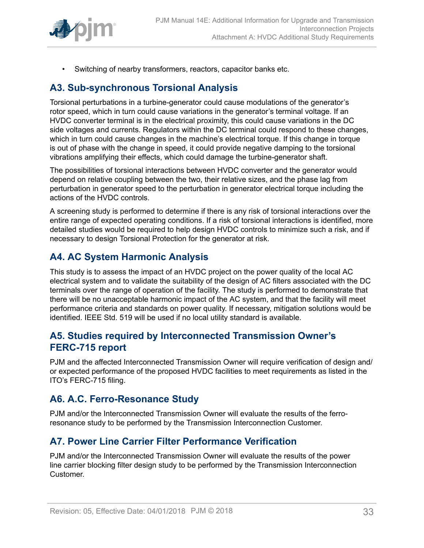

• Switching of nearby transformers, reactors, capacitor banks etc.

## <span id="page-32-0"></span>**A3. Sub-synchronous Torsional Analysis**

Torsional perturbations in a turbine-generator could cause modulations of the generator's rotor speed, which in turn could cause variations in the generator's terminal voltage. If an HVDC converter terminal is in the electrical proximity, this could cause variations in the DC side voltages and currents. Regulators within the DC terminal could respond to these changes, which in turn could cause changes in the machine's electrical torque. If this change in torque is out of phase with the change in speed, it could provide negative damping to the torsional vibrations amplifying their effects, which could damage the turbine-generator shaft.

The possibilities of torsional interactions between HVDC converter and the generator would depend on relative coupling between the two, their relative sizes, and the phase lag from perturbation in generator speed to the perturbation in generator electrical torque including the actions of the HVDC controls.

A screening study is performed to determine if there is any risk of torsional interactions over the entire range of expected operating conditions. If a risk of torsional interactions is identified, more detailed studies would be required to help design HVDC controls to minimize such a risk, and if necessary to design Torsional Protection for the generator at risk.

## <span id="page-32-1"></span>**A4. AC System Harmonic Analysis**

This study is to assess the impact of an HVDC project on the power quality of the local AC electrical system and to validate the suitability of the design of AC filters associated with the DC terminals over the range of operation of the facility. The study is performed to demonstrate that there will be no unacceptable harmonic impact of the AC system, and that the facility will meet performance criteria and standards on power quality. If necessary, mitigation solutions would be identified. IEEE Std. 519 will be used if no local utility standard is available.

## <span id="page-32-2"></span>**A5. Studies required by Interconnected Transmission Owner's FERC-715 report**

PJM and the affected Interconnected Transmission Owner will require verification of design and/ or expected performance of the proposed HVDC facilities to meet requirements as listed in the ITO's FERC-715 filing.

## <span id="page-32-3"></span>**A6. A.C. Ferro-Resonance Study**

PJM and/or the Interconnected Transmission Owner will evaluate the results of the ferroresonance study to be performed by the Transmission Interconnection Customer.

## <span id="page-32-4"></span>**A7. Power Line Carrier Filter Performance Verification**

PJM and/or the Interconnected Transmission Owner will evaluate the results of the power line carrier blocking filter design study to be performed by the Transmission Interconnection Customer.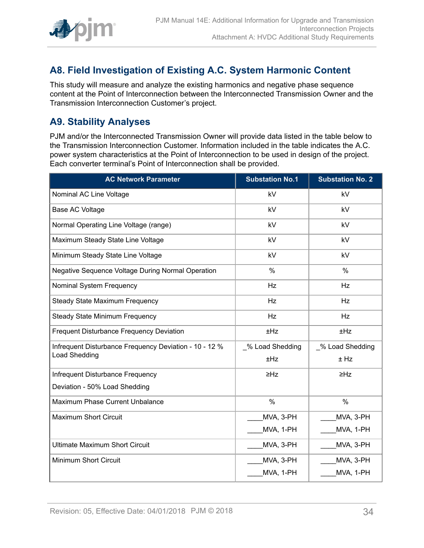

## <span id="page-33-0"></span>**A8. Field Investigation of Existing A.C. System Harmonic Content**

This study will measure and analyze the existing harmonics and negative phase sequence content at the Point of Interconnection between the Interconnected Transmission Owner and the Transmission Interconnection Customer's project.

## <span id="page-33-1"></span>**A9. Stability Analyses**

PJM and/or the Interconnected Transmission Owner will provide data listed in the table below to the Transmission Interconnection Customer. Information included in the table indicates the A.C. power system characteristics at the Point of Interconnection to be used in design of the project. Each converter terminal's Point of Interconnection shall be provided.

| <b>AC Network Parameter</b>                            | <b>Substation No.1</b> | <b>Substation No. 2</b> |
|--------------------------------------------------------|------------------------|-------------------------|
| Nominal AC Line Voltage                                | kV                     | kV                      |
| Base AC Voltage                                        | kV                     | kV                      |
| Normal Operating Line Voltage (range)                  | kV                     | kV                      |
| Maximum Steady State Line Voltage                      | kV                     | kV                      |
| Minimum Steady State Line Voltage                      | kV                     | kV                      |
| Negative Sequence Voltage During Normal Operation      | $\%$                   | $\frac{0}{0}$           |
| Nominal System Frequency                               | Hz                     | Hz                      |
| <b>Steady State Maximum Frequency</b>                  | Hz                     | Hz                      |
| <b>Steady State Minimum Frequency</b>                  | Hz                     | <b>Hz</b>               |
| Frequent Disturbance Frequency Deviation               | ±Hz                    | ±Hz                     |
| Infrequent Disturbance Frequency Deviation - 10 - 12 % | % Load Shedding        | % Load Shedding         |
| <b>Load Shedding</b>                                   | ±Hz                    | $±$ Hz                  |
| Infrequent Disturbance Frequency                       | $\geq HZ$              | $\geq HZ$               |
| Deviation - 50% Load Shedding                          |                        |                         |
| Maximum Phase Current Unbalance                        | $\frac{0}{0}$          | $\frac{0}{0}$           |
| <b>Maximum Short Circuit</b>                           | MVA, 3-PH              | MVA, 3-PH               |
|                                                        | MVA, 1-PH              | MVA, 1-PH               |
| <b>Ultimate Maximum Short Circuit</b>                  | MVA, 3-PH              | MVA, 3-PH               |
| Minimum Short Circuit                                  | MVA, 3-PH              | MVA, 3-PH               |
|                                                        | MVA, 1-PH              | MVA, 1-PH               |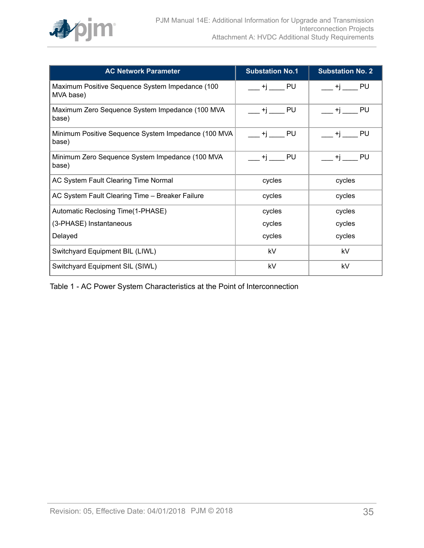

| <b>AC Network Parameter</b>                                  | <b>Substation No.1</b> | <b>Substation No. 2</b> |
|--------------------------------------------------------------|------------------------|-------------------------|
| Maximum Positive Sequence System Impedance (100<br>MVA base) | PU<br>+i               | PU<br>+i                |
| Maximum Zero Sequence System Impedance (100 MVA<br>base)     | PU<br>+i               | PU<br>+i                |
| Minimum Positive Sequence System Impedance (100 MVA<br>base) | PU<br>+i               | PU<br>+i                |
| Minimum Zero Sequence System Impedance (100 MVA<br>base)     | PU<br>+i               | PU<br>+i                |
| AC System Fault Clearing Time Normal                         | cycles                 | cycles                  |
| AC System Fault Clearing Time - Breaker Failure              | cycles                 | cycles                  |
| Automatic Reclosing Time(1-PHASE)                            | cycles                 | cycles                  |
| (3-PHASE) Instantaneous                                      | cycles                 | cycles                  |
| Delayed                                                      | cycles                 | cycles                  |
| Switchyard Equipment BIL (LIWL)                              | kV                     | kV                      |
| Switchyard Equipment SIL (SIWL)                              | kV                     | kV                      |

Table 1 - AC Power System Characteristics at the Point of Interconnection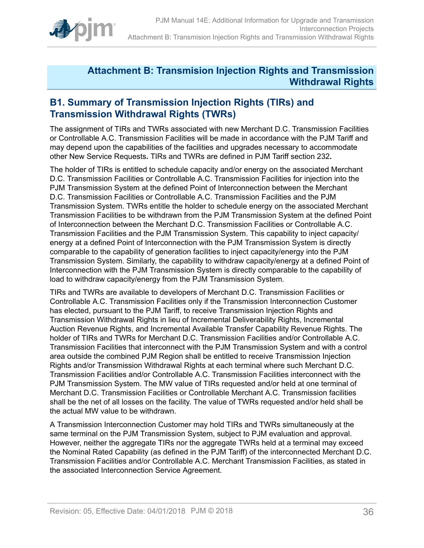

## <span id="page-35-0"></span>**Attachment B: Transmision Injection Rights and Transmission Withdrawal Rights**

## <span id="page-35-1"></span>**B1. Summary of Transmission Injection Rights (TIRs) and Transmission Withdrawal Rights (TWRs)**

The assignment of TIRs and TWRs associated with new Merchant D.C. Transmission Facilities or Controllable A.C. Transmission Facilities will be made in accordance with the PJM Tariff and may depend upon the capabilities of the facilities and upgrades necessary to accommodate other New Service Requests**.** TIRs and TWRs are defined in PJM Tariff section 232**.**

The holder of TIRs is entitled to schedule capacity and/or energy on the associated Merchant D.C. Transmission Facilities or Controllable A.C. Transmission Facilities for injection into the PJM Transmission System at the defined Point of Interconnection between the Merchant D.C. Transmission Facilities or Controllable A.C. Transmission Facilities and the PJM Transmission System. TWRs entitle the holder to schedule energy on the associated Merchant Transmission Facilities to be withdrawn from the PJM Transmission System at the defined Point of Interconnection between the Merchant D.C. Transmission Facilities or Controllable A.C. Transmission Facilities and the PJM Transmission System. This capability to inject capacity/ energy at a defined Point of Interconnection with the PJM Transmission System is directly comparable to the capability of generation facilities to inject capacity/energy into the PJM Transmission System. Similarly, the capability to withdraw capacity/energy at a defined Point of Interconnection with the PJM Transmission System is directly comparable to the capability of load to withdraw capacity/energy from the PJM Transmission System.

TIRs and TWRs are available to developers of Merchant D.C. Transmission Facilities or Controllable A.C. Transmission Facilities only if the Transmission Interconnection Customer has elected, pursuant to the PJM Tariff, to receive Transmission Injection Rights and Transmission Withdrawal Rights in lieu of Incremental Deliverability Rights, Incremental Auction Revenue Rights, and Incremental Available Transfer Capability Revenue Rights. The holder of TIRs and TWRs for Merchant D.C. Transmission Facilities and/or Controllable A.C. Transmission Facilities that interconnect with the PJM Transmission System and with a control area outside the combined PJM Region shall be entitled to receive Transmission Injection Rights and/or Transmission Withdrawal Rights at each terminal where such Merchant D.C. Transmission Facilities and/or Controllable A.C. Transmission Facilities interconnect with the PJM Transmission System. The MW value of TIRs requested and/or held at one terminal of Merchant D.C. Transmission Facilities or Controllable Merchant A.C. Transmission facilities shall be the net of all losses on the facility. The value of TWRs requested and/or held shall be the actual MW value to be withdrawn.

A Transmission Interconnection Customer may hold TIRs and TWRs simultaneously at the same terminal on the PJM Transmission System, subject to PJM evaluation and approval. However, neither the aggregate TIRs nor the aggregate TWRs held at a terminal may exceed the Nominal Rated Capability (as defined in the PJM Tariff) of the interconnected Merchant D.C. Transmission Facilities and/or Controllable A.C. Merchant Transmission Facilities, as stated in the associated Interconnection Service Agreement.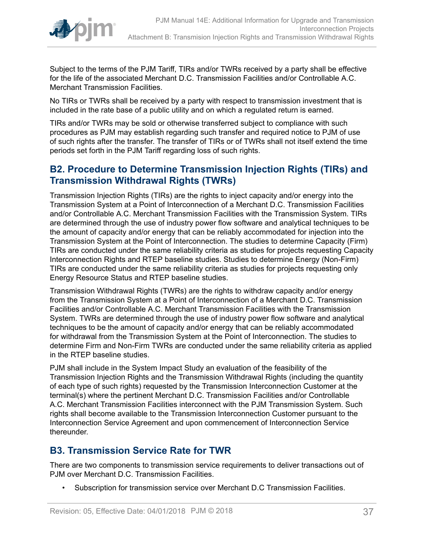

Subject to the terms of the PJM Tariff, TIRs and/or TWRs received by a party shall be effective for the life of the associated Merchant D.C. Transmission Facilities and/or Controllable A.C. Merchant Transmission Facilities.

No TIRs or TWRs shall be received by a party with respect to transmission investment that is included in the rate base of a public utility and on which a regulated return is earned.

TIRs and/or TWRs may be sold or otherwise transferred subject to compliance with such procedures as PJM may establish regarding such transfer and required notice to PJM of use of such rights after the transfer. The transfer of TIRs or of TWRs shall not itself extend the time periods set forth in the PJM Tariff regarding loss of such rights.

## <span id="page-36-0"></span>**B2. Procedure to Determine Transmission Injection Rights (TIRs) and Transmission Withdrawal Rights (TWRs)**

Transmission Injection Rights (TIRs) are the rights to inject capacity and/or energy into the Transmission System at a Point of Interconnection of a Merchant D.C. Transmission Facilities and/or Controllable A.C. Merchant Transmission Facilities with the Transmission System. TIRs are determined through the use of industry power flow software and analytical techniques to be the amount of capacity and/or energy that can be reliably accommodated for injection into the Transmission System at the Point of Interconnection. The studies to determine Capacity (Firm) TIRs are conducted under the same reliability criteria as studies for projects requesting Capacity Interconnection Rights and RTEP baseline studies. Studies to determine Energy (Non-Firm) TIRs are conducted under the same reliability criteria as studies for projects requesting only Energy Resource Status and RTEP baseline studies.

Transmission Withdrawal Rights (TWRs) are the rights to withdraw capacity and/or energy from the Transmission System at a Point of Interconnection of a Merchant D.C. Transmission Facilities and/or Controllable A.C. Merchant Transmission Facilities with the Transmission System. TWRs are determined through the use of industry power flow software and analytical techniques to be the amount of capacity and/or energy that can be reliably accommodated for withdrawal from the Transmission System at the Point of Interconnection. The studies to determine Firm and Non-Firm TWRs are conducted under the same reliability criteria as applied in the RTEP baseline studies.

PJM shall include in the System Impact Study an evaluation of the feasibility of the Transmission Injection Rights and the Transmission Withdrawal Rights (including the quantity of each type of such rights) requested by the Transmission Interconnection Customer at the terminal(s) where the pertinent Merchant D.C. Transmission Facilities and/or Controllable A.C. Merchant Transmission Facilities interconnect with the PJM Transmission System. Such rights shall become available to the Transmission Interconnection Customer pursuant to the Interconnection Service Agreement and upon commencement of Interconnection Service thereunder.

## <span id="page-36-1"></span>**B3. Transmission Service Rate for TWR**

There are two components to transmission service requirements to deliver transactions out of PJM over Merchant D.C. Transmission Facilities.

• Subscription for transmission service over Merchant D.C Transmission Facilities.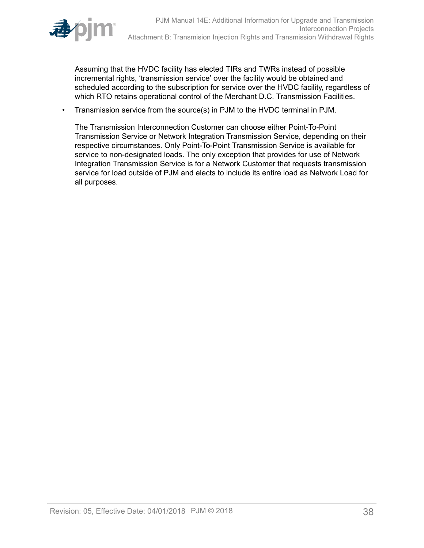

Assuming that the HVDC facility has elected TIRs and TWRs instead of possible incremental rights, 'transmission service' over the facility would be obtained and scheduled according to the subscription for service over the HVDC facility, regardless of which RTO retains operational control of the Merchant D.C. Transmission Facilities.

• Transmission service from the source(s) in PJM to the HVDC terminal in PJM.

The Transmission Interconnection Customer can choose either Point-To-Point Transmission Service or Network Integration Transmission Service, depending on their respective circumstances. Only Point-To-Point Transmission Service is available for service to non-designated loads. The only exception that provides for use of Network Integration Transmission Service is for a Network Customer that requests transmission service for load outside of PJM and elects to include its entire load as Network Load for all purposes.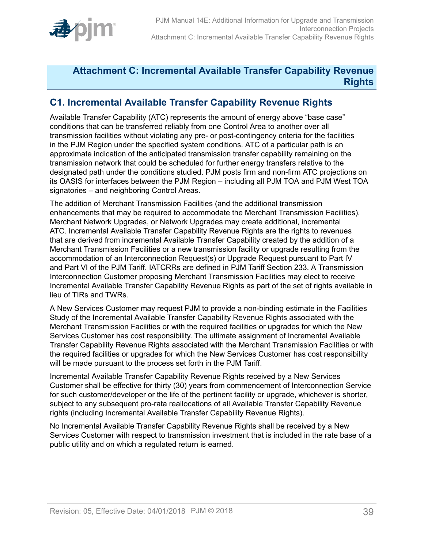

## <span id="page-38-0"></span>**Attachment C: Incremental Available Transfer Capability Revenue Rights**

## <span id="page-38-1"></span>**C1. Incremental Available Transfer Capability Revenue Rights**

Available Transfer Capability (ATC) represents the amount of energy above "base case" conditions that can be transferred reliably from one Control Area to another over all transmission facilities without violating any pre- or post-contingency criteria for the facilities in the PJM Region under the specified system conditions. ATC of a particular path is an approximate indication of the anticipated transmission transfer capability remaining on the transmission network that could be scheduled for further energy transfers relative to the designated path under the conditions studied. PJM posts firm and non-firm ATC projections on its OASIS for interfaces between the PJM Region – including all PJM TOA and PJM West TOA signatories – and neighboring Control Areas.

The addition of Merchant Transmission Facilities (and the additional transmission enhancements that may be required to accommodate the Merchant Transmission Facilities), Merchant Network Upgrades, or Network Upgrades may create additional, incremental ATC. Incremental Available Transfer Capability Revenue Rights are the rights to revenues that are derived from incremental Available Transfer Capability created by the addition of a Merchant Transmission Facilities or a new transmission facility or upgrade resulting from the accommodation of an Interconnection Request(s) or Upgrade Request pursuant to Part IV and Part VI of the PJM Tariff. IATCRRs are defined in PJM Tariff Section 233. A Transmission Interconnection Customer proposing Merchant Transmission Facilities may elect to receive Incremental Available Transfer Capability Revenue Rights as part of the set of rights available in lieu of TIRs and TWRs.

A New Services Customer may request PJM to provide a non-binding estimate in the Facilities Study of the Incremental Available Transfer Capability Revenue Rights associated with the Merchant Transmission Facilities or with the required facilities or upgrades for which the New Services Customer has cost responsibility. The ultimate assignment of Incremental Available Transfer Capability Revenue Rights associated with the Merchant Transmission Facilities or with the required facilities or upgrades for which the New Services Customer has cost responsibility will be made pursuant to the process set forth in the PJM Tariff.

Incremental Available Transfer Capability Revenue Rights received by a New Services Customer shall be effective for thirty (30) years from commencement of Interconnection Service for such customer/developer or the life of the pertinent facility or upgrade, whichever is shorter, subject to any subsequent pro-rata reallocations of all Available Transfer Capability Revenue rights (including Incremental Available Transfer Capability Revenue Rights).

No Incremental Available Transfer Capability Revenue Rights shall be received by a New Services Customer with respect to transmission investment that is included in the rate base of a public utility and on which a regulated return is earned.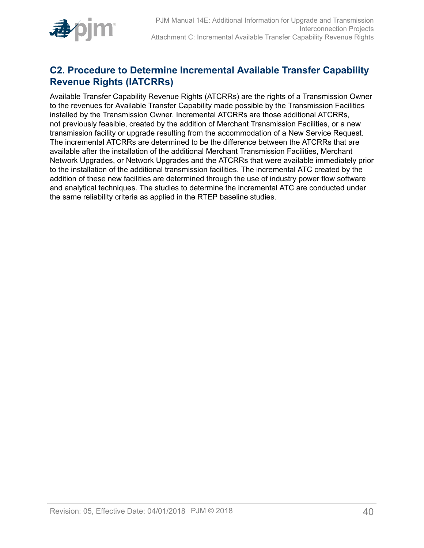

## <span id="page-39-0"></span>**C2. Procedure to Determine Incremental Available Transfer Capability Revenue Rights (IATCRRs)**

Available Transfer Capability Revenue Rights (ATCRRs) are the rights of a Transmission Owner to the revenues for Available Transfer Capability made possible by the Transmission Facilities installed by the Transmission Owner. Incremental ATCRRs are those additional ATCRRs, not previously feasible, created by the addition of Merchant Transmission Facilities, or a new transmission facility or upgrade resulting from the accommodation of a New Service Request. The incremental ATCRRs are determined to be the difference between the ATCRRs that are available after the installation of the additional Merchant Transmission Facilities, Merchant Network Upgrades, or Network Upgrades and the ATCRRs that were available immediately prior to the installation of the additional transmission facilities. The incremental ATC created by the addition of these new facilities are determined through the use of industry power flow software and analytical techniques. The studies to determine the incremental ATC are conducted under the same reliability criteria as applied in the RTEP baseline studies.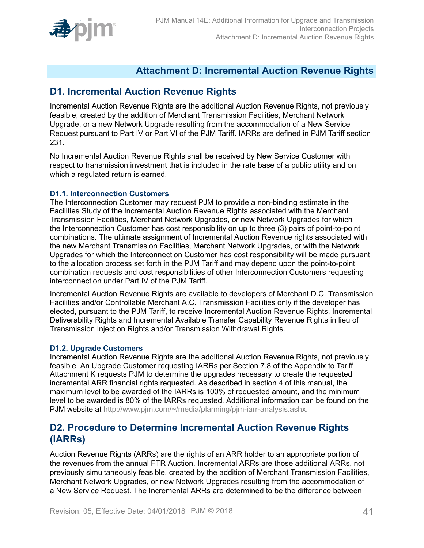

## <span id="page-40-0"></span>**Attachment D: Incremental Auction Revenue Rights**

## <span id="page-40-1"></span>**D1. Incremental Auction Revenue Rights**

Incremental Auction Revenue Rights are the additional Auction Revenue Rights, not previously feasible, created by the addition of Merchant Transmission Facilities, Merchant Network Upgrade, or a new Network Upgrade resulting from the accommodation of a New Service Request pursuant to Part IV or Part VI of the PJM Tariff. IARRs are defined in PJM Tariff section 231.

No Incremental Auction Revenue Rights shall be received by New Service Customer with respect to transmission investment that is included in the rate base of a public utility and on which a regulated return is earned.

### <span id="page-40-2"></span>**D1.1. Interconnection Customers**

The Interconnection Customer may request PJM to provide a non-binding estimate in the Facilities Study of the Incremental Auction Revenue Rights associated with the Merchant Transmission Facilities, Merchant Network Upgrades, or new Network Upgrades for which the Interconnection Customer has cost responsibility on up to three (3) pairs of point-to-point combinations. The ultimate assignment of Incremental Auction Revenue rights associated with the new Merchant Transmission Facilities, Merchant Network Upgrades, or with the Network Upgrades for which the Interconnection Customer has cost responsibility will be made pursuant to the allocation process set forth in the PJM Tariff and may depend upon the point-to-point combination requests and cost responsibilities of other Interconnection Customers requesting interconnection under Part IV of the PJM Tariff.

Incremental Auction Revenue Rights are available to developers of Merchant D.C. Transmission Facilities and/or Controllable Merchant A.C. Transmission Facilities only if the developer has elected, pursuant to the PJM Tariff, to receive Incremental Auction Revenue Rights, Incremental Deliverability Rights and Incremental Available Transfer Capability Revenue Rights in lieu of Transmission Injection Rights and/or Transmission Withdrawal Rights.

### <span id="page-40-3"></span>**D1.2. Upgrade Customers**

Incremental Auction Revenue Rights are the additional Auction Revenue Rights, not previously feasible. An Upgrade Customer requesting IARRs per Section 7.8 of the Appendix to Tariff Attachment K requests PJM to determine the upgrades necessary to create the requested incremental ARR financial rights requested. As described in section 4 of this manual, the maximum level to be awarded of the IARRs is 100% of requested amount, and the minimum level to be awarded is 80% of the IARRs requested. Additional information can be found on the PJM website at [http://www.pjm.com/~/media/planning/pjm-iarr-analysis.ashx.](http://www.pjm.com/~/media/planning/pjm-iarr-analysis.ashx)

## <span id="page-40-4"></span>**D2. Procedure to Determine Incremental Auction Revenue Rights (IARRs)**

Auction Revenue Rights (ARRs) are the rights of an ARR holder to an appropriate portion of the revenues from the annual FTR Auction. Incremental ARRs are those additional ARRs, not previously simultaneously feasible, created by the addition of Merchant Transmission Facilities, Merchant Network Upgrades, or new Network Upgrades resulting from the accommodation of a New Service Request. The Incremental ARRs are determined to be the difference between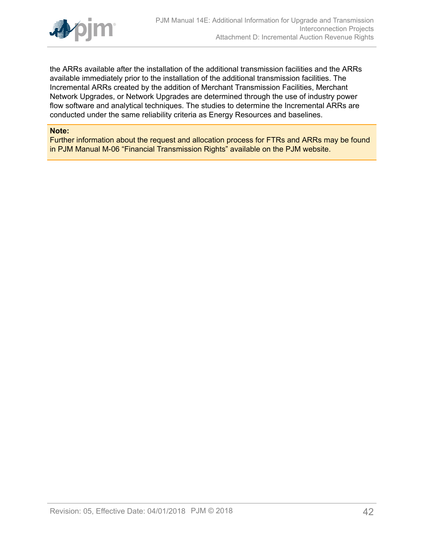

the ARRs available after the installation of the additional transmission facilities and the ARRs available immediately prior to the installation of the additional transmission facilities. The Incremental ARRs created by the addition of Merchant Transmission Facilities, Merchant Network Upgrades, or Network Upgrades are determined through the use of industry power flow software and analytical techniques. The studies to determine the Incremental ARRs are conducted under the same reliability criteria as Energy Resources and baselines.

#### **Note:**

Further information about the request and allocation process for FTRs and ARRs may be found in PJM Manual M-06 "Financial Transmission Rights" available on the PJM website.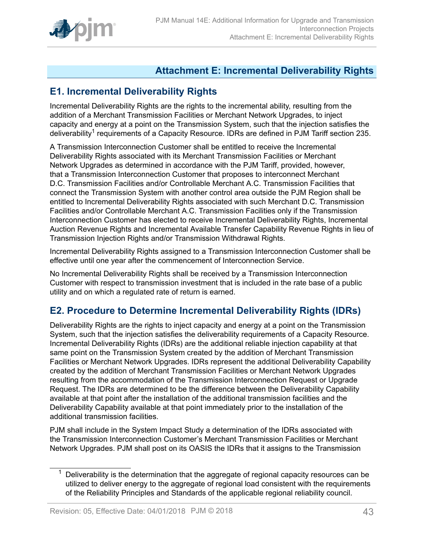

## <span id="page-42-0"></span>**Attachment E: Incremental Deliverability Rights**

## <span id="page-42-1"></span>**E1. Incremental Deliverability Rights**

Incremental Deliverability Rights are the rights to the incremental ability, resulting from the addition of a Merchant Transmission Facilities or Merchant Network Upgrades, to inject capacity and energy at a point on the Transmission System, such that the injection satisfies the deliverability<sup>1</sup> requirements of a Capacity Resource. IDRs are defined in PJM Tariff section 235.

A Transmission Interconnection Customer shall be entitled to receive the Incremental Deliverability Rights associated with its Merchant Transmission Facilities or Merchant Network Upgrades as determined in accordance with the PJM Tariff, provided, however, that a Transmission Interconnection Customer that proposes to interconnect Merchant D.C. Transmission Facilities and/or Controllable Merchant A.C. Transmission Facilities that connect the Transmission System with another control area outside the PJM Region shall be entitled to Incremental Deliverability Rights associated with such Merchant D.C. Transmission Facilities and/or Controllable Merchant A.C. Transmission Facilities only if the Transmission Interconnection Customer has elected to receive Incremental Deliverability Rights, Incremental Auction Revenue Rights and Incremental Available Transfer Capability Revenue Rights in lieu of Transmission Injection Rights and/or Transmission Withdrawal Rights.

Incremental Deliverability Rights assigned to a Transmission Interconnection Customer shall be effective until one year after the commencement of Interconnection Service.

No Incremental Deliverability Rights shall be received by a Transmission Interconnection Customer with respect to transmission investment that is included in the rate base of a public utility and on which a regulated rate of return is earned.

## <span id="page-42-2"></span>**E2. Procedure to Determine Incremental Deliverability Rights (IDRs)**

Deliverability Rights are the rights to inject capacity and energy at a point on the Transmission System, such that the injection satisfies the deliverability requirements of a Capacity Resource. Incremental Deliverability Rights (IDRs) are the additional reliable injection capability at that same point on the Transmission System created by the addition of Merchant Transmission Facilities or Merchant Network Upgrades. IDRs represent the additional Deliverability Capability created by the addition of Merchant Transmission Facilities or Merchant Network Upgrades resulting from the accommodation of the Transmission Interconnection Request or Upgrade Request. The IDRs are determined to be the difference between the Deliverability Capability available at that point after the installation of the additional transmission facilities and the Deliverability Capability available at that point immediately prior to the installation of the additional transmission facilities.

PJM shall include in the System Impact Study a determination of the IDRs associated with the Transmission Interconnection Customer's Merchant Transmission Facilities or Merchant Network Upgrades. PJM shall post on its OASIS the IDRs that it assigns to the Transmission

 $1$  Deliverability is the determination that the aggregate of regional capacity resources can be utilized to deliver energy to the aggregate of regional load consistent with the requirements of the Reliability Principles and Standards of the applicable regional reliability council.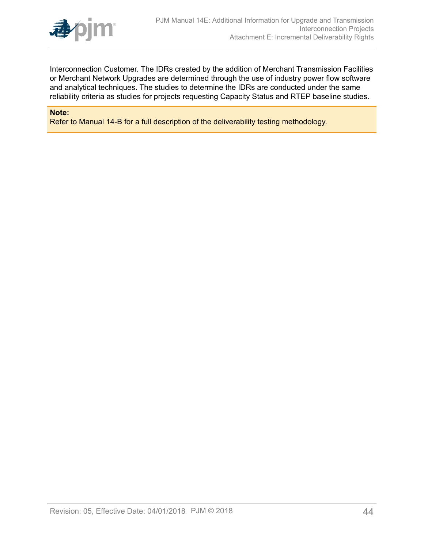

Interconnection Customer. The IDRs created by the addition of Merchant Transmission Facilities or Merchant Network Upgrades are determined through the use of industry power flow software and analytical techniques. The studies to determine the IDRs are conducted under the same reliability criteria as studies for projects requesting Capacity Status and RTEP baseline studies.

#### **Note:**

Refer to Manual 14-B for a full description of the deliverability testing methodology.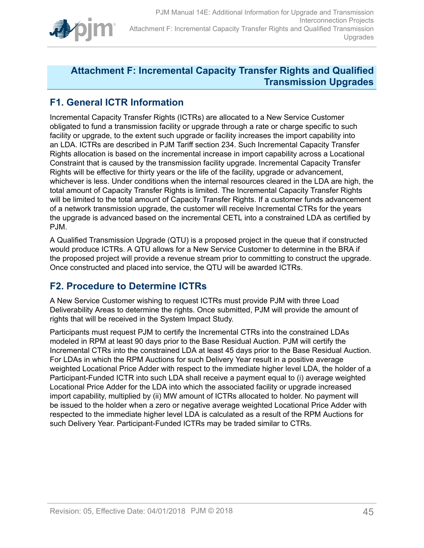

## <span id="page-44-0"></span>**Attachment F: Incremental Capacity Transfer Rights and Qualified Transmission Upgrades**

## <span id="page-44-1"></span>**F1. General ICTR Information**

Incremental Capacity Transfer Rights (ICTRs) are allocated to a New Service Customer obligated to fund a transmission facility or upgrade through a rate or charge specific to such facility or upgrade, to the extent such upgrade or facility increases the import capability into an LDA. ICTRs are described in PJM Tariff section 234. Such Incremental Capacity Transfer Rights allocation is based on the incremental increase in import capability across a Locational Constraint that is caused by the transmission facility upgrade. Incremental Capacity Transfer Rights will be effective for thirty years or the life of the facility, upgrade or advancement, whichever is less. Under conditions when the internal resources cleared in the LDA are high, the total amount of Capacity Transfer Rights is limited. The Incremental Capacity Transfer Rights will be limited to the total amount of Capacity Transfer Rights. If a customer funds advancement of a network transmission upgrade, the customer will receive Incremental CTRs for the years the upgrade is advanced based on the incremental CETL into a constrained LDA as certified by PJM.

A Qualified Transmission Upgrade (QTU) is a proposed project in the queue that if constructed would produce ICTRs. A QTU allows for a New Service Customer to determine in the BRA if the proposed project will provide a revenue stream prior to committing to construct the upgrade. Once constructed and placed into service, the QTU will be awarded ICTRs.

## <span id="page-44-2"></span>**F2. Procedure to Determine ICTRs**

A New Service Customer wishing to request ICTRs must provide PJM with three Load Deliverability Areas to determine the rights. Once submitted, PJM will provide the amount of rights that will be received in the System Impact Study.

Participants must request PJM to certify the Incremental CTRs into the constrained LDAs modeled in RPM at least 90 days prior to the Base Residual Auction. PJM will certify the Incremental CTRs into the constrained LDA at least 45 days prior to the Base Residual Auction. For LDAs in which the RPM Auctions for such Delivery Year result in a positive average weighted Locational Price Adder with respect to the immediate higher level LDA, the holder of a Participant-Funded ICTR into such LDA shall receive a payment equal to (i) average weighted Locational Price Adder for the LDA into which the associated facility or upgrade increased import capability, multiplied by (ii) MW amount of ICTRs allocated to holder. No payment will be issued to the holder when a zero or negative average weighted Locational Price Adder with respected to the immediate higher level LDA is calculated as a result of the RPM Auctions for such Delivery Year. Participant-Funded ICTRs may be traded similar to CTRs.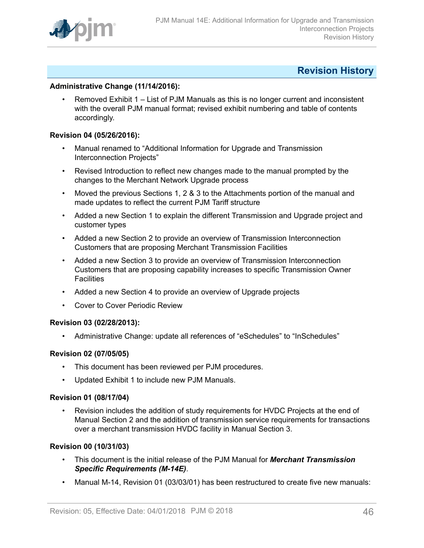

## <span id="page-45-0"></span>**Revision History**

### **Administrative Change (11/14/2016):**

• Removed Exhibit 1 – List of PJM Manuals as this is no longer current and inconsistent with the overall PJM manual format; revised exhibit numbering and table of contents accordingly.

#### **Revision 04 (05/26/2016):**

- Manual renamed to "Additional Information for Upgrade and Transmission Interconnection Projects"
- Revised Introduction to reflect new changes made to the manual prompted by the changes to the Merchant Network Upgrade process
- Moved the previous Sections 1, 2 & 3 to the Attachments portion of the manual and made updates to reflect the current PJM Tariff structure
- Added a new Section 1 to explain the different Transmission and Upgrade project and customer types
- Added a new Section 2 to provide an overview of Transmission Interconnection Customers that are proposing Merchant Transmission Facilities
- Added a new Section 3 to provide an overview of Transmission Interconnection Customers that are proposing capability increases to specific Transmission Owner **Facilities**
- Added a new Section 4 to provide an overview of Upgrade projects
- Cover to Cover Periodic Review

#### **Revision 03 (02/28/2013):**

• Administrative Change: update all references of "eSchedules" to "InSchedules"

#### **Revision 02 (07/05/05)**

- This document has been reviewed per PJM procedures.
- Updated Exhibit 1 to include new PJM Manuals.

#### **Revision 01 (08/17/04)**

• Revision includes the addition of study requirements for HVDC Projects at the end of Manual Section 2 and the addition of transmission service requirements for transactions over a merchant transmission HVDC facility in Manual Section 3.

#### **Revision 00 (10/31/03)**

- This document is the initial release of the PJM Manual for *Merchant Transmission Specific Requirements (M-14E)*.
- Manual M-14, Revision 01 (03/03/01) has been restructured to create five new manuals: